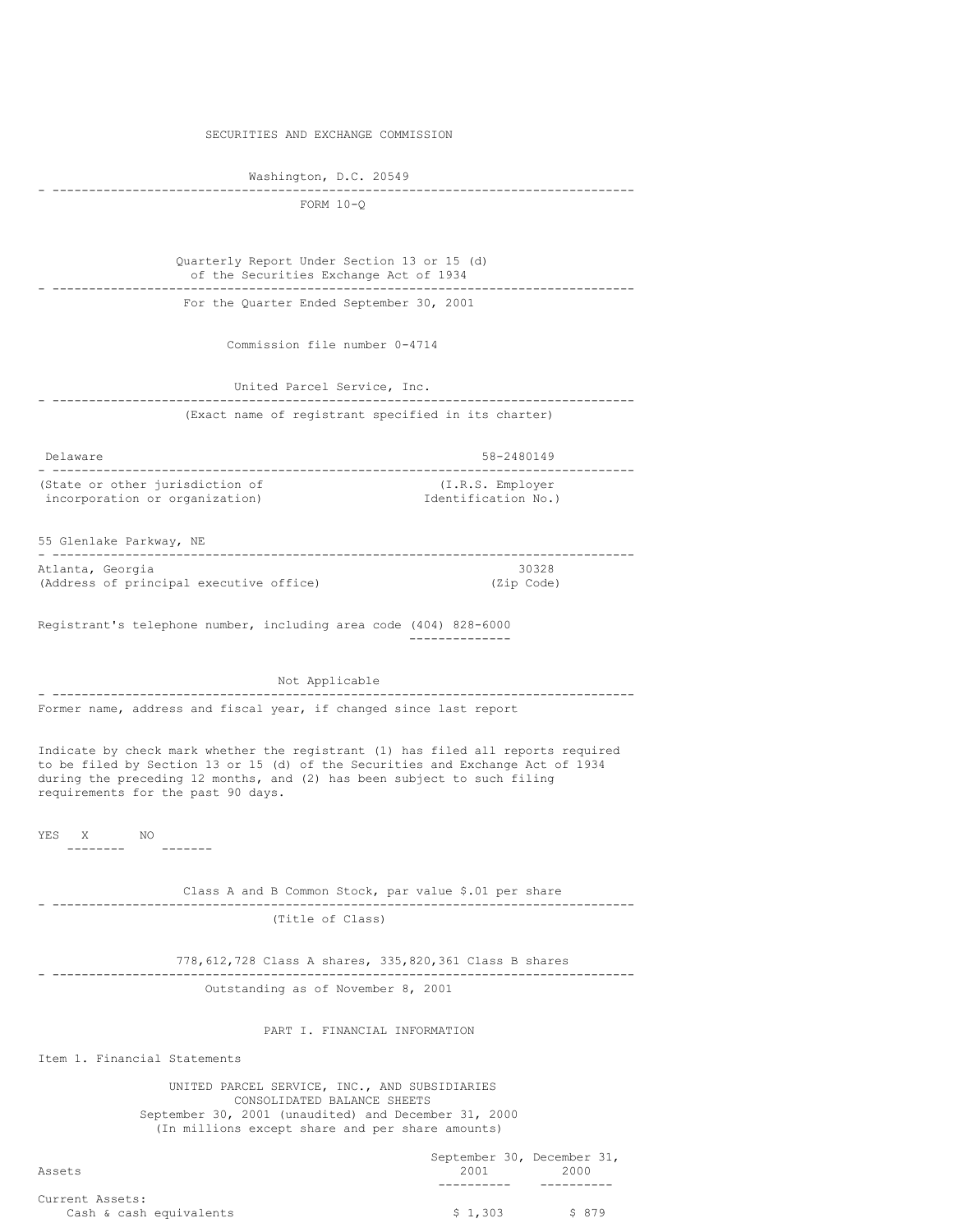SECURITIES AND EXCHANGE COMMISSION Washington, D.C. 20549 - -------------------------------------------------------------------------------- FORM 10-Q Quarterly Report Under Section 13 or 15 (d) of the Securities Exchange Act of 1934 - -------------------------------------------------------------------------------- For the Quarter Ended September 30, 2001 Commission file number 0-4714 United Parcel Service, Inc. - -------------------------------------------------------------------------------- (Exact name of registrant specified in its charter) Delaware 58-2480149 - -------------------------------------------------------------------------------- (State or other jurisdiction of  $(1,R.S.$  Employer incorporation or organization)  $\qquad \qquad$  Identification No.) incorporation or organization) 55 Glenlake Parkway, NE - -------------------------------------------------------------------------------- Atlanta, Georgia 30328 (Address of principal executive office) (Zip Code) Registrant's telephone number, including area code (404) 828-6000 -------------- Not Applicable - -------------------------------------------------------------------------------- Former name, address and fiscal year, if changed since last report Indicate by check mark whether the registrant (1) has filed all reports required to be filed by Section 13 or 15 (d) of the Securities and Exchange Act of 1934 during the preceding 12 months, and (2) has been subject to such filing requirements for the past 90 days. YES X NO -------- ------- Class A and B Common Stock, par value \$.01 per share - -------------------------------------------------------------------------------- (Title of Class) 778,612,728 Class A shares, 335,820,361 Class B shares - -------------------------------------------------------------------------------- Outstanding as of November 8, 2001 PART I. FINANCIAL INFORMATION Item 1. Financial Statements UNITED PARCEL SERVICE, INC., AND SUBSIDIARIES CONSOLIDATED BALANCE SHEETS September 30, 2001 (unaudited) and December 31, 2000 (In millions except share and per share amounts) s<br>September 31, December 31,

| Assets                  | September 30, December 31,<br>2001 | 2000   |
|-------------------------|------------------------------------|--------|
| Current Assets:         |                                    |        |
| Cash & cash equivalents | \$1.303                            | \$ 879 |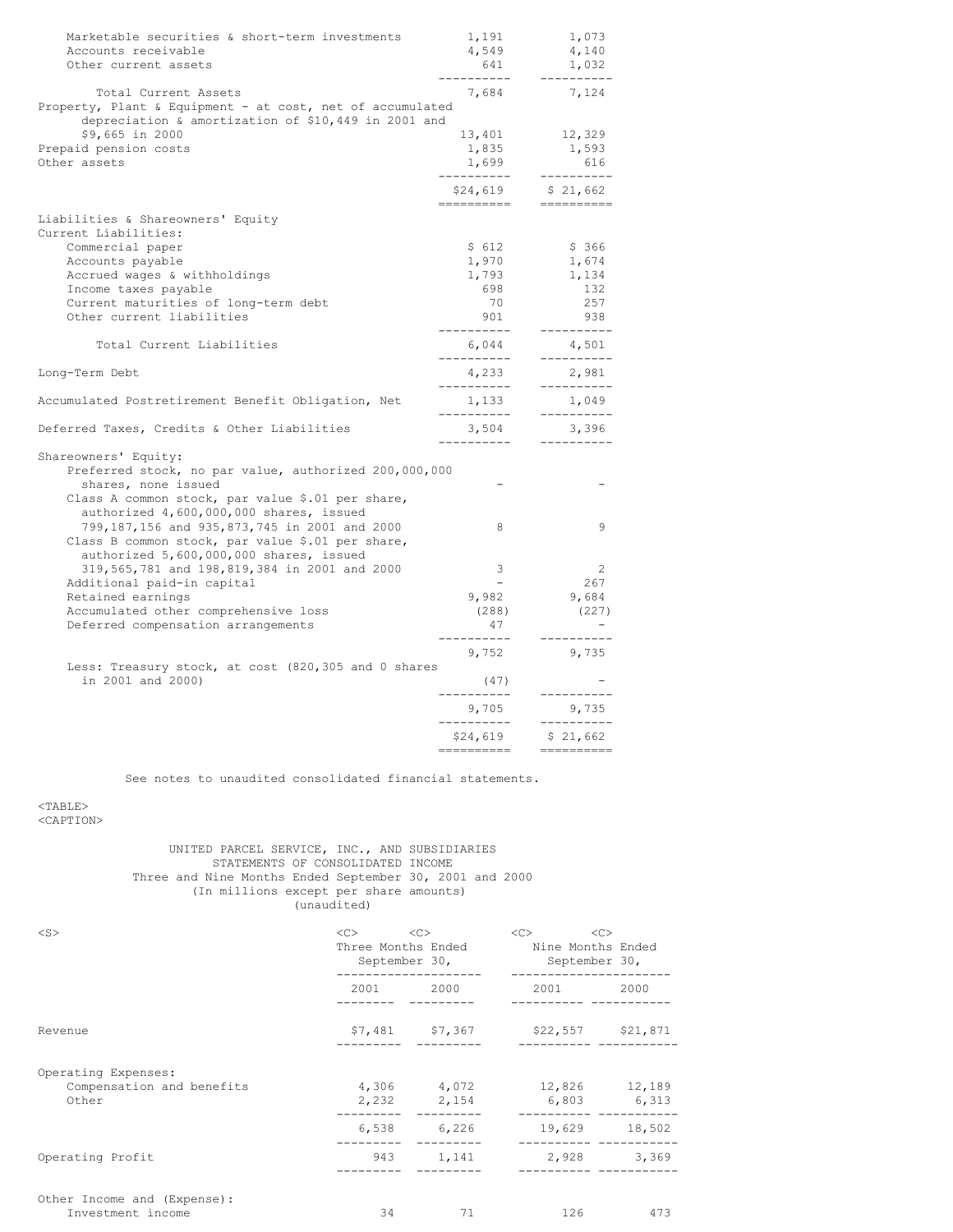| Marketable securities & short-term investments            | 1,191                    | 1,073                                                                                                                                                                                                                                                                                                                                                                                                                                                                                                                                                                                                                                                                                                                                    |
|-----------------------------------------------------------|--------------------------|------------------------------------------------------------------------------------------------------------------------------------------------------------------------------------------------------------------------------------------------------------------------------------------------------------------------------------------------------------------------------------------------------------------------------------------------------------------------------------------------------------------------------------------------------------------------------------------------------------------------------------------------------------------------------------------------------------------------------------------|
| Accounts receivable                                       | 4,549                    | 4,140                                                                                                                                                                                                                                                                                                                                                                                                                                                                                                                                                                                                                                                                                                                                    |
| Other current assets                                      | 641                      | 1,032                                                                                                                                                                                                                                                                                                                                                                                                                                                                                                                                                                                                                                                                                                                                    |
| Total Current Assets                                      | 7,684                    | 7,124                                                                                                                                                                                                                                                                                                                                                                                                                                                                                                                                                                                                                                                                                                                                    |
| Property, Plant & Equipment - at cost, net of accumulated |                          |                                                                                                                                                                                                                                                                                                                                                                                                                                                                                                                                                                                                                                                                                                                                          |
| depreciation & amortization of \$10,449 in 2001 and       |                          |                                                                                                                                                                                                                                                                                                                                                                                                                                                                                                                                                                                                                                                                                                                                          |
| \$9,665 in 2000                                           | 13,401                   | 12,329                                                                                                                                                                                                                                                                                                                                                                                                                                                                                                                                                                                                                                                                                                                                   |
| Prepaid pension costs                                     | 1,835                    | 1,593                                                                                                                                                                                                                                                                                                                                                                                                                                                                                                                                                                                                                                                                                                                                    |
| Other assets                                              | 1,699<br>----------      | 616<br>----------                                                                                                                                                                                                                                                                                                                                                                                                                                                                                                                                                                                                                                                                                                                        |
|                                                           | \$24,619                 | \$21,662                                                                                                                                                                                                                                                                                                                                                                                                                                                                                                                                                                                                                                                                                                                                 |
| Liabilities & Shareowners' Equity                         | __________               | $=$ ==========                                                                                                                                                                                                                                                                                                                                                                                                                                                                                                                                                                                                                                                                                                                           |
| Current Liabilities:                                      |                          |                                                                                                                                                                                                                                                                                                                                                                                                                                                                                                                                                                                                                                                                                                                                          |
| Commercial paper                                          | \$612                    | \$ 366                                                                                                                                                                                                                                                                                                                                                                                                                                                                                                                                                                                                                                                                                                                                   |
| Accounts payable                                          | 1,970                    | 1,674                                                                                                                                                                                                                                                                                                                                                                                                                                                                                                                                                                                                                                                                                                                                    |
| Accrued wages & withholdings                              | 1,793                    | 1,134                                                                                                                                                                                                                                                                                                                                                                                                                                                                                                                                                                                                                                                                                                                                    |
| Income taxes payable                                      | 698                      | 132                                                                                                                                                                                                                                                                                                                                                                                                                                                                                                                                                                                                                                                                                                                                      |
| Current maturities of long-term debt                      | 70                       | 257                                                                                                                                                                                                                                                                                                                                                                                                                                                                                                                                                                                                                                                                                                                                      |
| Other current liabilities                                 | 901                      | 938                                                                                                                                                                                                                                                                                                                                                                                                                                                                                                                                                                                                                                                                                                                                      |
| Total Current Liabilities                                 | ----------<br>6,044      | ----------<br>4,501                                                                                                                                                                                                                                                                                                                                                                                                                                                                                                                                                                                                                                                                                                                      |
|                                                           | -----------              | ----------                                                                                                                                                                                                                                                                                                                                                                                                                                                                                                                                                                                                                                                                                                                               |
| Long-Term Debt                                            | 4,233<br>-----------     | 2,981<br>----------                                                                                                                                                                                                                                                                                                                                                                                                                                                                                                                                                                                                                                                                                                                      |
| Accumulated Postretirement Benefit Obligation, Net        | 1,133<br>-----------     | 1,049<br>----------                                                                                                                                                                                                                                                                                                                                                                                                                                                                                                                                                                                                                                                                                                                      |
| Deferred Taxes, Credits & Other Liabilities               | 3,504<br>__________      | 3,396<br>-----------                                                                                                                                                                                                                                                                                                                                                                                                                                                                                                                                                                                                                                                                                                                     |
| Shareowners' Equity:                                      |                          |                                                                                                                                                                                                                                                                                                                                                                                                                                                                                                                                                                                                                                                                                                                                          |
| Preferred stock, no par value, authorized 200,000,000     |                          |                                                                                                                                                                                                                                                                                                                                                                                                                                                                                                                                                                                                                                                                                                                                          |
| shares, none issued                                       |                          |                                                                                                                                                                                                                                                                                                                                                                                                                                                                                                                                                                                                                                                                                                                                          |
| Class A common stock, par value \$.01 per share,          |                          |                                                                                                                                                                                                                                                                                                                                                                                                                                                                                                                                                                                                                                                                                                                                          |
| authorized 4,600,000,000 shares, issued                   |                          |                                                                                                                                                                                                                                                                                                                                                                                                                                                                                                                                                                                                                                                                                                                                          |
| 799,187,156 and 935,873,745 in 2001 and 2000              | 8                        | 9                                                                                                                                                                                                                                                                                                                                                                                                                                                                                                                                                                                                                                                                                                                                        |
| Class B common stock, par value \$.01 per share,          |                          |                                                                                                                                                                                                                                                                                                                                                                                                                                                                                                                                                                                                                                                                                                                                          |
| authorized 5,600,000,000 shares, issued                   |                          |                                                                                                                                                                                                                                                                                                                                                                                                                                                                                                                                                                                                                                                                                                                                          |
| 319,565,781 and 198,819,384 in 2001 and 2000              | 3                        | 2                                                                                                                                                                                                                                                                                                                                                                                                                                                                                                                                                                                                                                                                                                                                        |
| Additional paid-in capital                                | $\overline{\phantom{a}}$ | 267                                                                                                                                                                                                                                                                                                                                                                                                                                                                                                                                                                                                                                                                                                                                      |
| Retained earnings                                         | 9,982                    | 9,684                                                                                                                                                                                                                                                                                                                                                                                                                                                                                                                                                                                                                                                                                                                                    |
| Accumulated other comprehensive loss                      | (288)                    | (227)                                                                                                                                                                                                                                                                                                                                                                                                                                                                                                                                                                                                                                                                                                                                    |
| Deferred compensation arrangements                        | 47<br>---------          |                                                                                                                                                                                                                                                                                                                                                                                                                                                                                                                                                                                                                                                                                                                                          |
|                                                           | 9,752                    | 9,735                                                                                                                                                                                                                                                                                                                                                                                                                                                                                                                                                                                                                                                                                                                                    |
| Less: Treasury stock, at cost (820,305 and 0 shares       |                          |                                                                                                                                                                                                                                                                                                                                                                                                                                                                                                                                                                                                                                                                                                                                          |
| in 2001 and 2000)                                         | (47)<br>----------       | ----------                                                                                                                                                                                                                                                                                                                                                                                                                                                                                                                                                                                                                                                                                                                               |
|                                                           | 9,705                    | 9,735                                                                                                                                                                                                                                                                                                                                                                                                                                                                                                                                                                                                                                                                                                                                    |
|                                                           | -----------<br>\$24,619  | -----------<br>\$21,662                                                                                                                                                                                                                                                                                                                                                                                                                                                                                                                                                                                                                                                                                                                  |
|                                                           | ==========               | $\qquad \qquad \Rightarrow \qquad \qquad \Rightarrow \qquad \qquad \Rightarrow \qquad \qquad \Rightarrow \qquad \qquad \Rightarrow \qquad \qquad \Rightarrow \qquad \qquad \Rightarrow \qquad \qquad \Rightarrow \qquad \qquad \Rightarrow \qquad \qquad \Rightarrow \qquad \qquad \Rightarrow \qquad \qquad \Rightarrow \qquad \qquad \Rightarrow \qquad \qquad \Rightarrow \qquad \qquad \Rightarrow \qquad \qquad \Rightarrow \qquad \qquad \Rightarrow \qquad \qquad \Rightarrow \qquad \qquad \Rightarrow \qquad \qquad \Rightarrow \qquad \qquad \Rightarrow \qquad \qquad \Rightarrow \qquad \qquad \Rightarrow \qquad \qquad \Rightarrow \qquad \qquad \Rightarrow \qquad \qquad \Rightarrow \qquad \qquad \Rightarrow \qquad \$ |

See notes to unaudited consolidated financial statements.

### <TABLE> <CAPTION>

UNITED PARCEL SERVICE, INC., AND SUBSIDIARIES STATEMENTS OF CONSOLIDATED INCOME Three and Nine Months Ended September 30, 2001 and 2000 (In millions except per share amounts) (unaudited)

| $<$ S $>$                                                 | $<\infty$<br><<><br>Three Months Ended Nine Months Ended<br>September 30,                                                                                                                                                       |             | <<<br><<<br>September 30,                                                                                                                                                                                                       |        |  |
|-----------------------------------------------------------|---------------------------------------------------------------------------------------------------------------------------------------------------------------------------------------------------------------------------------|-------------|---------------------------------------------------------------------------------------------------------------------------------------------------------------------------------------------------------------------------------|--------|--|
|                                                           | 2001 - 2001 - 2002 - 2003 - 2004 - 2004 - 2004 - 2005 - 2006 - 2007 - 2008 - 2008 - 2008 - 2008 - 2008 - 2008 - 2008 - 2008 - 2008 - 2008 - 2008 - 2008 - 2008 - 2008 - 2008 - 2008 - 2008 - 2008 - 2008 - 2008 - 2008 - 2008 - | 2000        | 2001 - 2001 - 2002 - 2003 - 2004 - 2004 - 2004 - 2005 - 2006 - 2012 - 2012 - 2013 - 2014 - 2014 - 2014 - 2014 - 2014 - 2014 - 2014 - 2014 - 2014 - 2014 - 2014 - 2014 - 2014 - 2014 - 2014 - 2014 - 2014 - 2014 - 2014 - 2014 - | 2000   |  |
| Revenue                                                   |                                                                                                                                                                                                                                 |             | $$7,481$ $$7,367$ $$22,557$ $$21,871$                                                                                                                                                                                           |        |  |
| Operating Expenses:<br>Compensation and benefits<br>Other |                                                                                                                                                                                                                                 | 2,232 2,154 | 4,306 4,072 12,826 12,189<br>6,803 6,313                                                                                                                                                                                        |        |  |
|                                                           |                                                                                                                                                                                                                                 | 6,538 6,226 | 19,629                                                                                                                                                                                                                          | 18,502 |  |
| Operating Profit                                          |                                                                                                                                                                                                                                 | 943 1,141   | 2,928 3,369                                                                                                                                                                                                                     |        |  |
| Other Income and (Expense):<br>Investment income          | 34                                                                                                                                                                                                                              | 71          | 126                                                                                                                                                                                                                             | 473    |  |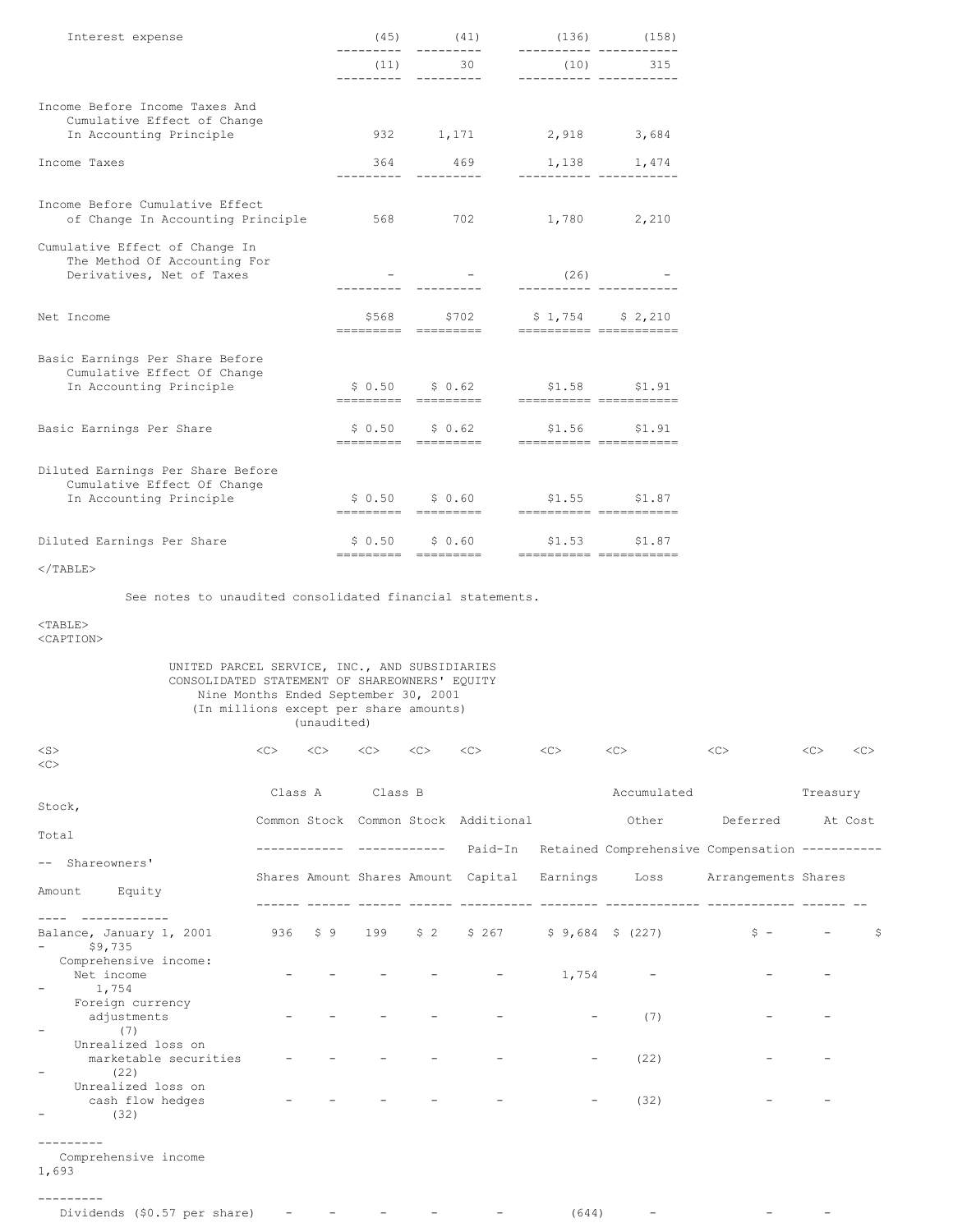| Interest expense                                                                            | (45)                           | (41)                                    | (136)                                         | (158)           |
|---------------------------------------------------------------------------------------------|--------------------------------|-----------------------------------------|-----------------------------------------------|-----------------|
|                                                                                             | (11)                           | 30                                      | (10)                                          | 315             |
| Income Before Income Taxes And<br>Cumulative Effect of Change                               |                                |                                         |                                               |                 |
| In Accounting Principle                                                                     |                                | 932 1,171                               | 2,918 3,684                                   |                 |
| Income Taxes                                                                                |                                | 364 469                                 | 1,138 1,474                                   |                 |
| Income Before Cumulative Effect<br>of Change In Accounting Principle                        | 568                            | 702                                     | 1,780 2,210                                   |                 |
| Cumulative Effect of Change In<br>The Method Of Accounting For<br>Derivatives, Net of Taxes |                                |                                         | (26)                                          |                 |
| Net Income                                                                                  | \$568 \<br>---------           | \$702<br>=========                      | $$1,754$ $$2,210$<br>=========== ============ |                 |
| Basic Earnings Per Share Before<br>Cumulative Effect Of Change                              |                                | \$0.62                                  |                                               |                 |
| In Accounting Principle                                                                     | \$0.50                         | =========         =========             | \$1.58<br>=========== ============            | \$1.91          |
| Basic Earnings Per Share                                                                    |                                | $$0.50$ $$0.62$<br>---------- --------- | ----------- -----------                       | $$1.56$ $$1.91$ |
| Diluted Earnings Per Share Before<br>Cumulative Effect Of Change                            |                                |                                         |                                               |                 |
| In Accounting Principle                                                                     | \$0.50                         | \$0.60<br>====================          | ----------- -----------                       | $$1.55$ $$1.87$ |
| Diluted Earnings Per Share                                                                  | \$0.50<br>---------- --------- | \$0.60                                  | =========== ============                      | \$1.53 \$1.87   |

 $<$ /TABLE>

See notes to unaudited consolidated financial statements.

# $<sub>TABLE</sub>$ </sub>

<CAPTION>

### UNITED PARCEL SERVICE, INC., AND SUBSIDIARIES CONSOLIDATED STATEMENT OF SHAREOWNERS' EQUITY Nine Months Ended September 30, 2001 (In millions except per share amounts) (unaudited)

| $<$ S $>$                                              | <<      | <<      | $<$ C>  | << | $<$ C>                                       | <<    | <<                                             | <<                       | <<       | << |
|--------------------------------------------------------|---------|---------|---------|----|----------------------------------------------|-------|------------------------------------------------|--------------------------|----------|----|
| <<                                                     |         |         |         |    |                                              |       |                                                |                          |          |    |
|                                                        | Class A |         | Class B |    |                                              |       | Accumulated                                    |                          | Treasury |    |
| Stock,                                                 |         |         |         |    |                                              |       |                                                |                          |          |    |
|                                                        |         |         |         |    | Common Stock Common Stock Additional         |       | Other                                          | Deferred                 | At Cost  |    |
| Total                                                  |         |         |         |    |                                              |       |                                                |                          |          |    |
| Shareowners'<br>$--$                                   |         |         |         |    | Paid-In                                      |       | Retained Comprehensive Compensation ---------- |                          |          |    |
|                                                        |         |         |         |    | Shares Amount Shares Amount Capital Earnings |       |                                                | Loss Arrangements Shares |          |    |
| Amount Equity                                          |         |         |         |    |                                              |       |                                                |                          |          |    |
|                                                        |         |         |         |    |                                              |       |                                                |                          |          |    |
| Balance, January 1, 2001<br>\$9,735                    |         | 936 \$9 |         |    | 199 \$2 \$267 \$9,684 \$(227)                |       |                                                | $S =$                    |          | S. |
| Comprehensive income:                                  |         |         |         |    |                                              |       |                                                |                          |          |    |
| Net income<br>1,754<br>$\overline{\phantom{0}}$        |         |         |         |    |                                              | 1,754 |                                                |                          |          |    |
| Foreign currency                                       |         |         |         |    |                                              |       |                                                |                          |          |    |
| adjustments<br>(7)<br>$\overline{\phantom{a}}$         |         |         |         |    |                                              |       | (7)                                            |                          |          |    |
| Unrealized loss on                                     |         |         |         |    |                                              |       |                                                |                          |          |    |
| marketable securities                                  |         |         |         |    |                                              |       | (22)                                           |                          |          |    |
| (22)<br>$\overline{\phantom{0}}$<br>Unrealized loss on |         |         |         |    |                                              |       |                                                |                          |          |    |
| cash flow hedges                                       |         |         |         |    |                                              |       | (32)                                           |                          |          |    |
| (32)                                                   |         |         |         |    |                                              |       |                                                |                          |          |    |
|                                                        |         |         |         |    |                                              |       |                                                |                          |          |    |
| Comprehensive income<br>1,693                          |         |         |         |    |                                              |       |                                                |                          |          |    |
|                                                        |         |         |         |    |                                              |       |                                                |                          |          |    |

| Dividends (\$0.57 per share) $    -$ |  |  |  |  |  | (644) |  |  |  |
|--------------------------------------|--|--|--|--|--|-------|--|--|--|
|--------------------------------------|--|--|--|--|--|-------|--|--|--|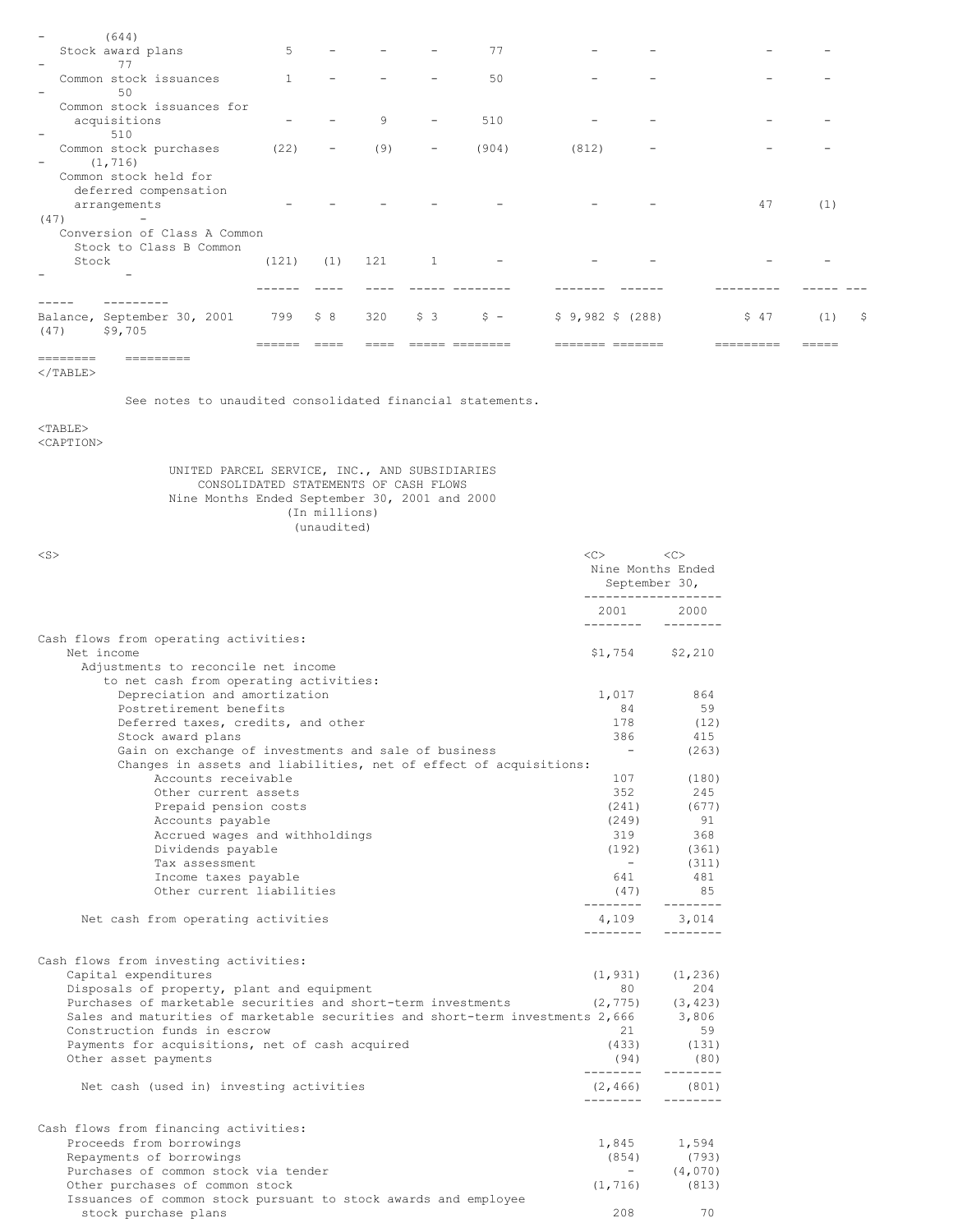| ---------<br>---------                                  |              |                   |     |                   |                                                    |                 |      |     |     |
|---------------------------------------------------------|--------------|-------------------|-----|-------------------|----------------------------------------------------|-----------------|------|-----|-----|
|                                                         |              |                   |     |                   |                                                    |                 |      |     |     |
| Balance, September 30, 2001<br>(47)<br>\$9,705          | 799 \$8      |                   | 320 |                   | $\begin{array}{ccc} \xi & 3 & \xi & - \end{array}$ | $$9,982$$ (288) | \$47 | (1) | -\$ |
|                                                         |              |                   |     |                   |                                                    |                 |      |     |     |
|                                                         |              |                   |     |                   |                                                    |                 |      |     |     |
| Stock                                                   | (121)        | (1)               | 121 | $\overline{1}$    |                                                    |                 |      |     |     |
| Conversion of Class A Common<br>Stock to Class B Common |              |                   |     |                   |                                                    |                 |      |     |     |
| (47)                                                    |              |                   |     |                   |                                                    |                 |      |     |     |
| deferred compensation<br>arrangements                   |              |                   |     |                   |                                                    |                 | 47   | (1) |     |
| Common stock held for                                   |              |                   |     |                   |                                                    |                 |      |     |     |
| (1, 716)<br>$\overline{\phantom{a}}$                    |              |                   |     |                   |                                                    |                 |      |     |     |
| 510<br>Common stock purchases                           | (22)         | $\qquad \qquad -$ | (9) | $\qquad \qquad -$ | (904)                                              | (812)           |      |     |     |
| acquisitions                                            |              |                   | 9   |                   | 510                                                |                 |      |     |     |
| Common stock issuances for                              |              |                   |     |                   |                                                    |                 |      |     |     |
| Common stock issuances<br>50                            | $\mathbf{1}$ |                   |     |                   | 50                                                 |                 |      |     |     |
| Stock award plans<br>77<br>$\qquad \qquad -$            | 5            |                   |     |                   | 77                                                 |                 |      |     |     |
| (644)                                                   |              |                   |     |                   |                                                    |                 |      |     |     |

 $<$ /TABLE>

See notes to unaudited consolidated financial statements.

<TABLE>

<CAPTION>

UNITED PARCEL SERVICE, INC., AND SUBSIDIARIES CONSOLIDATED STATEMENTS OF CASH FLOWS Nine Months Ended September 30, 2001 and 2000 (In millions) (unaudited)

| $<$ S $>$                                                                                                                 | <<<br>Nine Months Ended<br>September 30, | <<<br>------------------- |
|---------------------------------------------------------------------------------------------------------------------------|------------------------------------------|---------------------------|
|                                                                                                                           | 2001<br>---------                        | 2000<br>---------         |
| Cash flows from operating activities:<br>Net income                                                                       | $$1,754$ $$2,210$                        |                           |
| Adjustments to reconcile net income<br>to net cash from operating activities:                                             |                                          |                           |
| Depreciation and amortization                                                                                             | 1,017                                    | 864                       |
| Postretirement benefits                                                                                                   | 84                                       | 59                        |
| Deferred taxes, credits, and other                                                                                        | 178                                      | (12)                      |
| Stock award plans                                                                                                         | 386                                      | 415                       |
| Gain on exchange of investments and sale of business<br>Changes in assets and liabilities, net of effect of acquisitions: | $\overline{\phantom{0}}$                 | (263)                     |
| Accounts receivable                                                                                                       | 107                                      | (180)                     |
| Other current assets                                                                                                      | 352                                      | 245                       |
| Prepaid pension costs                                                                                                     | (241)                                    | (677)                     |
| Accounts payable                                                                                                          | (249)                                    | 91                        |
| Accrued wages and withholdings                                                                                            | 319                                      | 368                       |
| Dividends payable                                                                                                         | (192)                                    | (361)                     |
| Tax assessment                                                                                                            | $\sim$                                   | (311)                     |
| Income taxes payable                                                                                                      | 641                                      | 481                       |
| Other current liabilities                                                                                                 | (47)<br>---------                        | 85<br>---------           |
| Net cash from operating activities                                                                                        | 4,109<br>---------                       | 3,014                     |
| Cash flows from investing activities:                                                                                     |                                          |                           |
| Capital expenditures                                                                                                      | (1, 931)                                 | (1, 236)                  |
| Disposals of property, plant and equipment                                                                                | 80                                       | 204                       |
| Purchases of marketable securities and short-term investments                                                             | (2, 775)                                 | (3, 423)                  |
| Sales and maturities of marketable securities and short-term investments 2,666                                            |                                          | 3,806                     |
| Construction funds in escrow                                                                                              | 21                                       | 59                        |
| Payments for acquisitions, net of cash acquired                                                                           | (433)                                    | (131)                     |
| Other asset payments                                                                                                      | (94)<br>---------                        | (80)<br>--------          |
| Net cash (used in) investing activities                                                                                   | (2, 466)<br>. <u>.</u> .                 | (801)<br>--------         |
|                                                                                                                           |                                          |                           |
| Cash flows from financing activities:<br>Proceeds from borrowings                                                         | 1,845                                    | 1,594                     |
| Repayments of borrowings                                                                                                  | (854)                                    | (793)                     |
| Purchases of common stock via tender                                                                                      | $-$                                      | (4,070)                   |
| Other purchases of common stock                                                                                           | (1, 716)                                 | (813)                     |
| Issuances of common stock pursuant to stock awards and employee<br>stock purchase plans                                   | 208                                      | 70                        |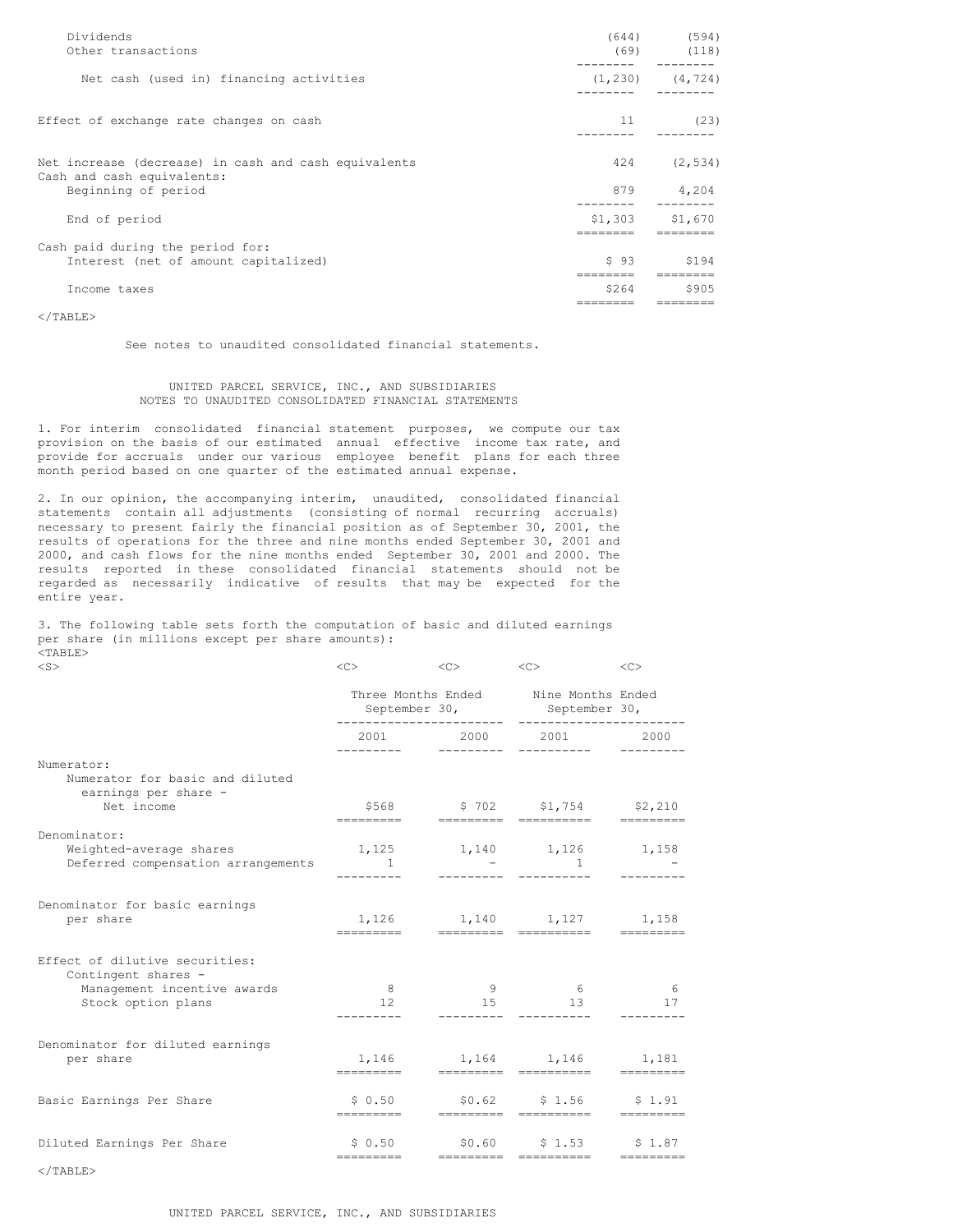| Dividends<br>Other transactions                                                                           |                    | $(644)$ (594)<br>$(69)$ $(118)$ |
|-----------------------------------------------------------------------------------------------------------|--------------------|---------------------------------|
| Net cash (used in) financing activities                                                                   | (1, 230)           | (4, 724)                        |
| Effect of exchange rate changes on cash                                                                   | 11                 | (23)                            |
| Net increase (decrease) in cash and cash equivalents<br>Cash and cash equivalents:<br>Beginning of period | 424<br>879         | (2, 534)<br>4,204               |
| End of period                                                                                             | \$1,303            | \$1,670                         |
| Cash paid during the period for:<br>Interest (net of amount capitalized)                                  | $S$ 93<br>-------- | S194                            |
| Income taxes                                                                                              | \$264              | \$905                           |

 $<$ /TABLE>

See notes to unaudited consolidated financial statements.

### UNITED PARCEL SERVICE, INC., AND SUBSIDIARIES NOTES TO UNAUDITED CONSOLIDATED FINANCIAL STATEMENTS

1. For interim consolidated financial statement purposes, we compute our tax provision on the basis of our estimated annual effective income tax rate, and provide for accruals under our various employee benefit plans for each three month period based on one quarter of the estimated annual expense.

2. In our opinion, the accompanying interim, unaudited, consolidated financial statements contain all adjustments (consisting of normal recurring accruals) necessary to present fairly the financial position as of September 30, 2001, the results of operations for the three and nine months ended September 30, 2001 and 2000, and cash flows for the nine months ended September 30, 2001 and 2000. The results reported in these consolidated financial statements should not be regarded as necessarily indicative of results that may be expected for the entire year.

3. The following table sets forth the computation of basic and diluted earnings per share (in millions except per share amounts):  $<$ TABLE> $<$ S

| $<$ S $>$                                                             | <<>                                                                                           | <<>        | <<>                                                                          | <<                    |
|-----------------------------------------------------------------------|-----------------------------------------------------------------------------------------------|------------|------------------------------------------------------------------------------|-----------------------|
|                                                                       | Three Months Ended Mine Months Ended<br>September 30, September 30,<br>______________________ |            | __________________                                                           |                       |
|                                                                       | _________                                                                                     | ---------- | 2001 2000 2001 2000<br>-----------                                           |                       |
| Numerator:<br>Numerator for basic and diluted<br>earnings per share - |                                                                                               |            |                                                                              |                       |
| Net income                                                            |                                                                                               |            | $$568$ $$702$ $$1,754$ $$2,210$                                              |                       |
| Denominator:                                                          |                                                                                               |            |                                                                              |                       |
| Weighted-average shares<br>Deferred compensation arrangements 1       |                                                                                               |            | $1,125$ $1,140$ $1,126$ $1,158$<br>$\sim$ $\sim$ $\sim$ $\sim$ $\sim$ $\sim$ |                       |
| Denominator for basic earnings                                        |                                                                                               |            |                                                                              |                       |
| per share                                                             | ----------                                                                                    |            | 1,126 1,140 1,127 1,158                                                      |                       |
| Effect of dilutive securities:<br>Contingent shares -                 |                                                                                               |            |                                                                              |                       |
| Management incentive awards<br>Stock option plans                     | 8 <sup>1</sup><br>12                                                                          | 9<br>15    | $6\overline{6}$<br>13                                                        | $6\overline{6}$<br>17 |
|                                                                       |                                                                                               |            |                                                                              |                       |
| Denominator for diluted earnings<br>per share                         |                                                                                               |            | 1,146 1,164 1,146 1,181                                                      |                       |
| Basic Earnings Per Share                                              |                                                                                               |            | $$0.50$ $$0.62$ $$1.56$ $$1.91$                                              |                       |
| Diluted Earnings Per Share                                            | \$0.50                                                                                        |            | $$0.60$ $$1.53$ $$1.87$                                                      |                       |
|                                                                       | =========                                                                                     |            | essessess essessesse                                                         | $=$ =========         |

 $<$ /TABLE>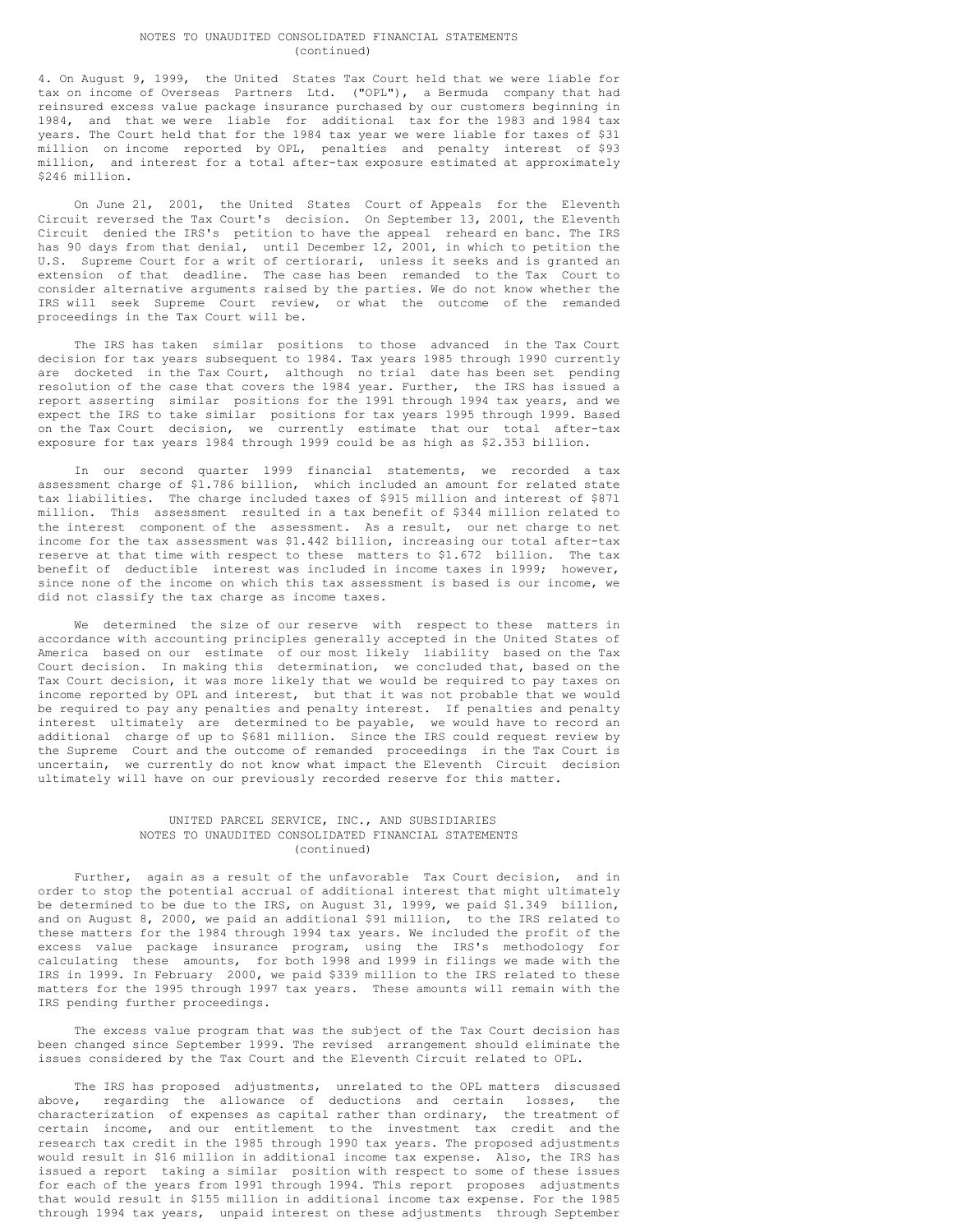#### NOTES TO UNAUDITED CONSOLIDATED FINANCIAL STATEMENTS (continued)

4. On August 9, 1999, the United States Tax Court held that we were liable for tax on income of Overseas Partners Ltd. ("OPL"), a Bermuda company that had reinsured excess value package insurance purchased by our customers beginning in 1984, and that we were liable for additional tax for the 1983 and 1984 tax years. The Court held that for the 1984 tax year we were liable for taxes of \$31 million on income reported by OPL, penalties and penalty interest of \$93 million, and interest for a total after-tax exposure estimated at approximately \$246 million.

On June 21, 2001, the United States Court of Appeals for the Eleventh Circuit reversed the Tax Court's decision. On September 13, 2001, the Eleventh Circuit denied the IRS's petition to have the appeal reheard en banc. The IRS has 90 days from that denial, until December 12, 2001, in which to petition the U.S. Supreme Court for a writ of certiorari, unless it seeks and is granted an extension of that deadline. The case has been remanded to the Tax Court to consider alternative arguments raised by the parties. We do not know whether the IRS will seek Supreme Court review, or what the outcome of the remanded proceedings in the Tax Court will be.

The IRS has taken similar positions to those advanced in the Tax Court decision for tax years subsequent to 1984. Tax years 1985 through 1990 currently are docketed in the Tax Court, although no trial date has been set pending resolution of the case that covers the 1984 year. Further, the IRS has issued a report asserting similar positions for the 1991 through 1994 tax years, and we expect the IRS to take similar positions for tax years 1995 through 1999. Based on the Tax Court decision, we currently estimate that our total after-tax exposure for tax years 1984 through 1999 could be as high as \$2.353 billion.

In our second quarter 1999 financial statements, we recorded a tax assessment charge of \$1.786 billion, which included an amount for related state tax liabilities. The charge included taxes of \$915 million and interest of \$871 million. This assessment resulted in a tax benefit of \$344 million related to the interest component of the assessment. As a result, our net charge to net income for the tax assessment was \$1.442 billion, increasing our total after-tax reserve at that time with respect to these matters to \$1.672 billion. The tax benefit of deductible interest was included in income taxes in 1999; however, since none of the income on which this tax assessment is based is our income, we did not classify the tax charge as income taxes.

We determined the size of our reserve with respect to these matters in accordance with accounting principles generally accepted in the United States of America based on our estimate of our most likely liability based on the Tax Court decision. In making this determination, we concluded that, based on the Tax Court decision, it was more likely that we would be required to pay taxes on income reported by OPL and interest, but that it was not probable that we would be required to pay any penalties and penalty interest. If penalties and penalty interest ultimately are determined to be payable, we would have to record an additional charge of up to \$681 million. Since the IRS could request review by the Supreme Court and the outcome of remanded proceedings in the Tax Court is uncertain, we currently do not know what impact the Eleventh Circuit decision ultimately will have on our previously recorded reserve for this matter.

### UNITED PARCEL SERVICE, INC., AND SUBSIDIARIES NOTES TO UNAUDITED CONSOLIDATED FINANCIAL STATEMENTS (continued)

Further, again as a result of the unfavorable Tax Court decision, and in order to stop the potential accrual of additional interest that might ultimately be determined to be due to the IRS, on August 31, 1999, we paid \$1.349 billion, and on August 8, 2000, we paid an additional \$91 million, to the IRS related to these matters for the 1984 through 1994 tax years. We included the profit of the excess value package insurance program, using the IRS's methodology for calculating these amounts, for both 1998 and 1999 in filings we made with the IRS in 1999. In February 2000, we paid \$339 million to the IRS related to these matters for the 1995 through 1997 tax years. These amounts will remain with the IRS pending further proceedings.

The excess value program that was the subject of the Tax Court decision has been changed since September 1999. The revised arrangement should eliminate the issues considered by the Tax Court and the Eleventh Circuit related to OPL.

The IRS has proposed adjustments, unrelated to the OPL matters discussed above, regarding the allowance of deductions and certain losses, the characterization of expenses as capital rather than ordinary, the treatment of certain income, and our entitlement to the investment tax credit and the research tax credit in the 1985 through 1990 tax years. The proposed adjustments would result in \$16 million in additional income tax expense. Also, the IRS has issued a report taking a similar position with respect to some of these issues for each of the years from 1991 through 1994. This report proposes adjustments that would result in \$155 million in additional income tax expense. For the 1985 through 1994 tax years, unpaid interest on these adjustments through September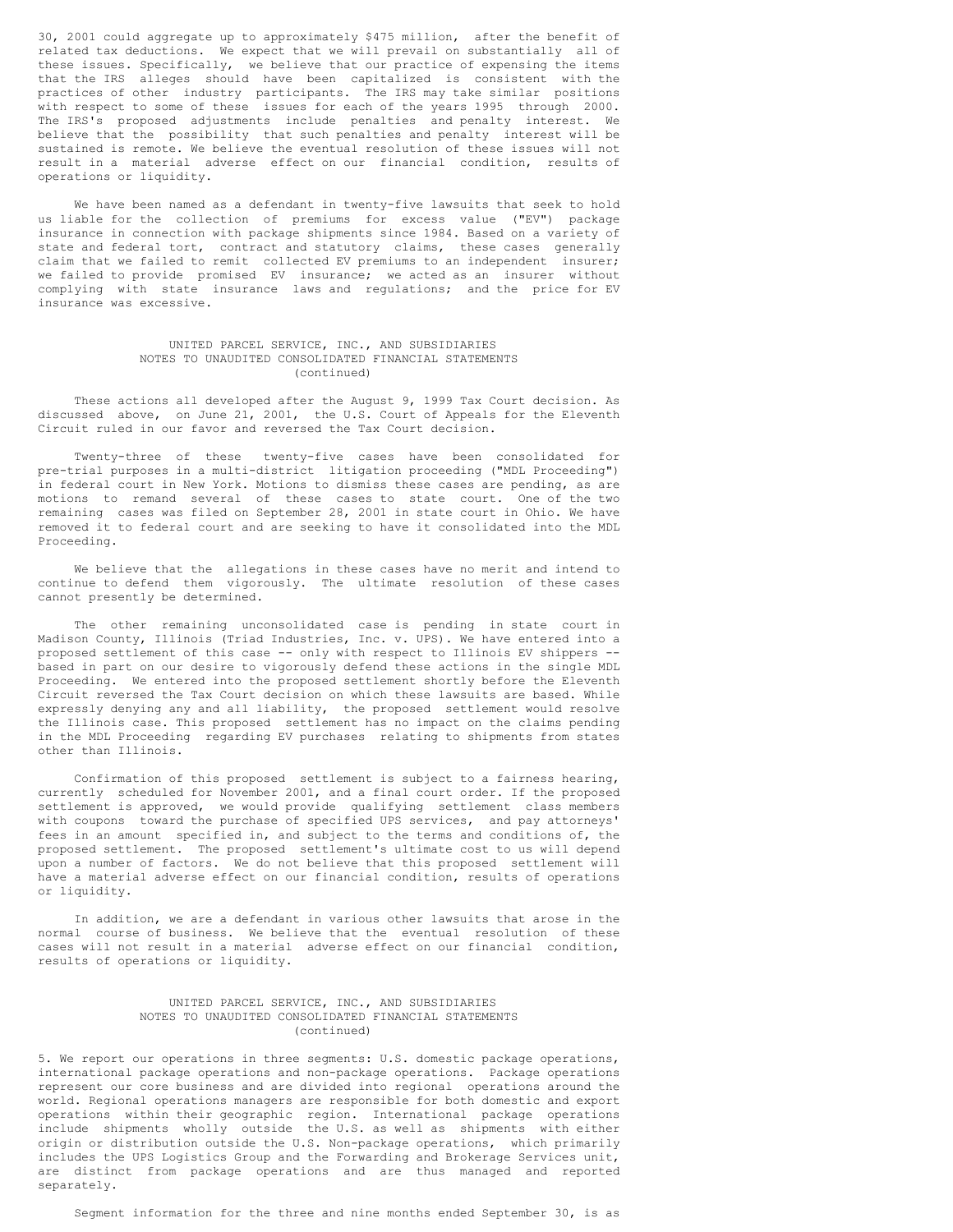30, 2001 could aggregate up to approximately \$475 million, after the benefit of related tax deductions. We expect that we will prevail on substantially all of these issues. Specifically, we believe that our practice of expensing the items that the IRS alleges should have been capitalized is consistent with the practices of other industry participants. The IRS may take similar positions with respect to some of these issues for each of the years 1995 through 2000. The IRS's proposed adjustments include penalties and penalty interest. We believe that the possibility that such penalties and penalty interest will be sustained is remote. We believe the eventual resolution of these issues will not result in a material adverse effect on our financial condition, results of operations or liquidity.

We have been named as a defendant in twenty-five lawsuits that seek to hold us liable for the collection of premiums for excess value ("EV") package insurance in connection with package shipments since 1984. Based on a variety of state and federal tort, contract and statutory claims, these cases generally claim that we failed to remit collected EV premiums to an independent insurer; we failed to provide promised EV insurance; we acted as an insurer without complying with state insurance laws and regulations; and the price for EV insurance was excessive.

### UNITED PARCEL SERVICE, INC., AND SUBSIDIARIES NOTES TO UNAUDITED CONSOLIDATED FINANCIAL STATEMENTS (continued)

These actions all developed after the August 9, 1999 Tax Court decision. As discussed above, on June 21, 2001, the U.S. Court of Appeals for the Eleventh Circuit ruled in our favor and reversed the Tax Court decision.

Twenty-three of these twenty-five cases have been consolidated for pre-trial purposes in a multi-district litigation proceeding ("MDL Proceeding") in federal court in New York. Motions to dismiss these cases are pending, as are motions to remand several of these cases to state court. One of the two remaining cases was filed on September 28, 2001 in state court in Ohio. We have removed it to federal court and are seeking to have it consolidated into the MDL Proceeding.

We believe that the allegations in these cases have no merit and intend to continue to defend them vigorously. The ultimate resolution of these cases cannot presently be determined.

The other remaining unconsolidated case is pending in state court in Madison County, Illinois (Triad Industries, Inc. v. UPS). We have entered into a proposed settlement of this case -- only with respect to Illinois EV shippers - based in part on our desire to vigorously defend these actions in the single MDL Proceeding. We entered into the proposed settlement shortly before the Eleventh Circuit reversed the Tax Court decision on which these lawsuits are based. While expressly denying any and all liability, the proposed settlement would resolve the Illinois case. This proposed settlement has no impact on the claims pending in the MDL Proceeding regarding EV purchases relating to shipments from states other than Illinois.

Confirmation of this proposed settlement is subject to a fairness hearing, currently scheduled for November 2001, and a final court order. If the proposed settlement is approved, we would provide qualifying settlement class members with coupons toward the purchase of specified UPS services, and pay attorneys' fees in an amount specified in, and subject to the terms and conditions of, the proposed settlement. The proposed settlement's ultimate cost to us will depend upon a number of factors. We do not believe that this proposed settlement will have a material adverse effect on our financial condition, results of operations or liquidity.

In addition, we are a defendant in various other lawsuits that arose in the normal course of business. We believe that the eventual resolution of these cases will not result in a material adverse effect on our financial condition, results of operations or liquidity.

### UNITED PARCEL SERVICE, INC., AND SUBSIDIARIES NOTES TO UNAUDITED CONSOLIDATED FINANCIAL STATEMENTS (continued)

5. We report our operations in three segments: U.S. domestic package operations, international package operations and non-package operations. Package operations represent our core business and are divided into regional operations around the world. Regional operations managers are responsible for both domestic and export operations within their geographic region. International package operations include shipments wholly outside the U.S. as well as shipments with either origin or distribution outside the U.S. Non-package operations, which primarily includes the UPS Logistics Group and the Forwarding and Brokerage Services unit, are distinct from package operations and are thus managed and reported separately.

Segment information for the three and nine months ended September 30, is as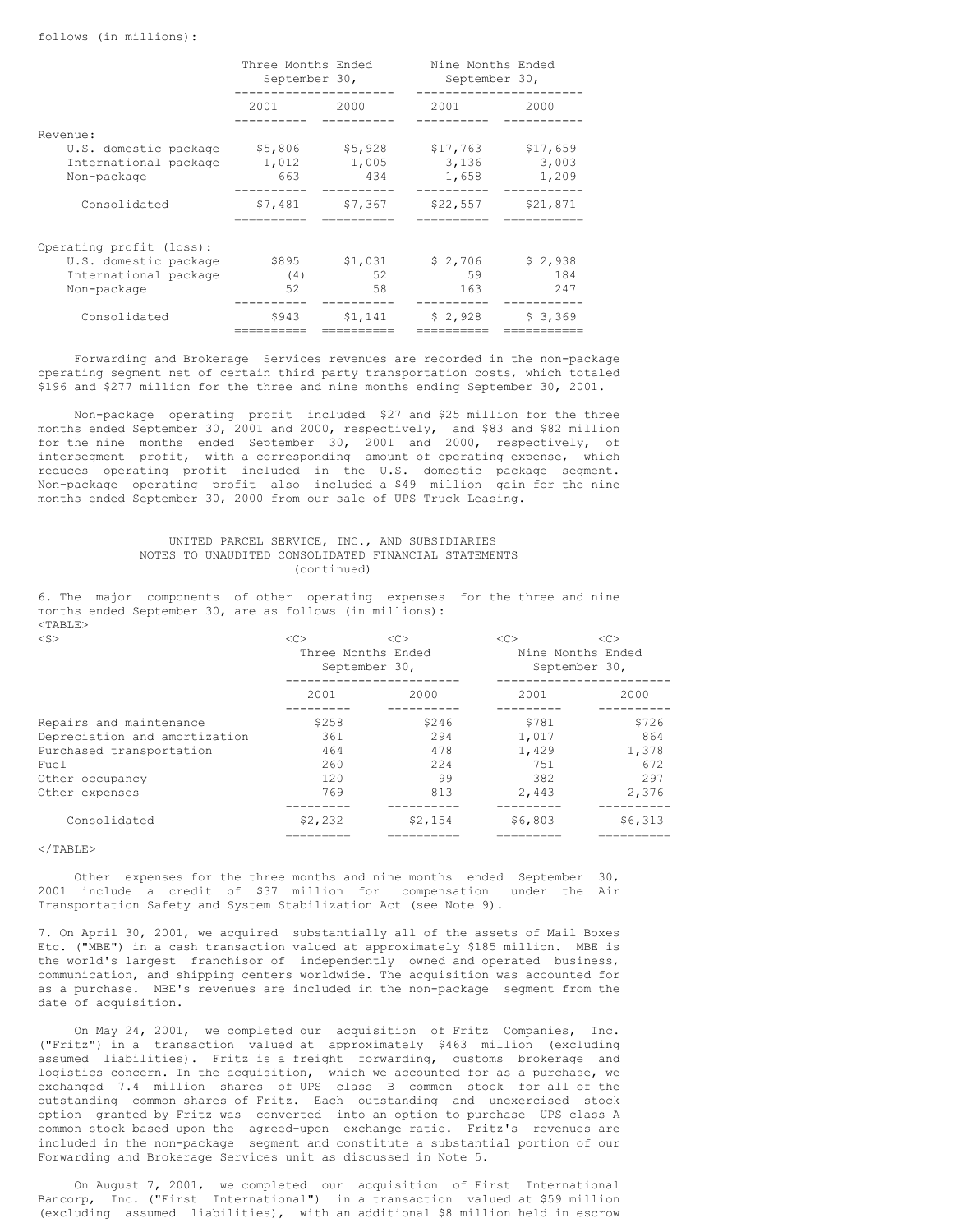|                                                               | Three Months Ended<br>September 30, |                         | Nine Months Ended<br>September 30, |                            |  |  |
|---------------------------------------------------------------|-------------------------------------|-------------------------|------------------------------------|----------------------------|--|--|
|                                                               | 2001                                | 2000                    | 2001                               | 2000                       |  |  |
| Revenue:                                                      |                                     |                         |                                    |                            |  |  |
| U.S. domestic package<br>International package<br>Non-package | \$5,806<br>1,012<br>663             | \$5,928<br>1,005<br>434 | \$17,763<br>3,136<br>1,658         | \$17,659<br>3,003<br>1,209 |  |  |
| Consolidated                                                  | \$7,481                             | \$7,367                 | \$22,557                           | \$21,871                   |  |  |
| Operating profit (loss):                                      |                                     |                         |                                    |                            |  |  |
| U.S. domestic package                                         | \$895                               | \$1,031                 | \$2,706                            | \$2,938                    |  |  |
| International package                                         | (4)                                 | 52                      | 59                                 | 184                        |  |  |
| Non-package                                                   | 52                                  | 58                      | 163                                | 247                        |  |  |
| Consolidated                                                  | \$943                               | \$1,141                 | \$2,928                            | \$3,369                    |  |  |

Forwarding and Brokerage Services revenues are recorded in the non-package operating segment net of certain third party transportation costs, which totaled \$196 and \$277 million for the three and nine months ending September 30, 2001.

Non-package operating profit included \$27 and \$25 million for the three months ended September 30, 2001 and 2000, respectively, and \$83 and \$82 million for the nine months ended September 30, 2001 and 2000, respectively, of intersegment profit, with a corresponding amount of operating expense, which reduces operating profit included in the U.S. domestic package segment. Non-package operating profit also included a \$49 million gain for the nine months ended September 30, 2000 from our sale of UPS Truck Leasing.

### UNITED PARCEL SERVICE, INC., AND SUBSIDIARIES NOTES TO UNAUDITED CONSOLIDATED FINANCIAL STATEMENTS (continued)

6. The major components of other operating expenses for the three and nine months ended September 30, are as follows (in millions):  $<$ TABLE>

| $<$ S>                        | <<                 | <<            | <<                | <<            |  |
|-------------------------------|--------------------|---------------|-------------------|---------------|--|
|                               | Three Months Ended |               | Nine Months Ended |               |  |
|                               |                    | September 30, |                   | September 30, |  |
|                               | 2001               | 2000          | 2001              | 2000          |  |
| Repairs and maintenance       | \$258              | \$246         | \$781             | \$726         |  |
| Depreciation and amortization | 361                | 294           | 1,017             | 864           |  |
| Purchased transportation      | 464                | 478           | 1,429             | 1,378         |  |
| Fuel                          | 260                | 224           | 751               | 672           |  |
| Other occupancy               | 120                | 99            | 382               | 297           |  |
| Other expenses                | 769                | 813           | 2.443             | 2,376         |  |
| Consolidated                  | \$2,232            | \$2,154       | \$6,803           | \$6,313       |  |
|                               |                    |               |                   |               |  |

#### $\langle$ /TABLE>

Other expenses for the three months and nine months ended September 30, 2001 include a credit of \$37 million for compensation under the Air Transportation Safety and System Stabilization Act (see Note 9).

7. On April 30, 2001, we acquired substantially all of the assets of Mail Boxes Etc. ("MBE") in a cash transaction valued at approximately \$185 million. MBE is the world's largest franchisor of independently owned and operated business, communication, and shipping centers worldwide. The acquisition was accounted for as a purchase. MBE's revenues are included in the non-package segment from the date of acquisition.

On May 24, 2001, we completed our acquisition of Fritz Companies, Inc. ("Fritz") in a transaction valued at approximately \$463 million (excluding assumed liabilities). Fritz is a freight forwarding, customs brokerage and logistics concern. In the acquisition, which we accounted for as a purchase, we exchanged 7.4 million shares of UPS class B common stock for all of the outstanding common shares of Fritz. Each outstanding and unexercised stock option granted by Fritz was converted into an option to purchase UPS class A common stock based upon the agreed-upon exchange ratio. Fritz's revenues are included in the non-package segment and constitute a substantial portion of our Forwarding and Brokerage Services unit as discussed in Note 5.

On August 7, 2001, we completed our acquisition of First International Bancorp, Inc. ("First International") in a transaction valued at \$59 million (excluding assumed liabilities), with an additional \$8 million held in escrow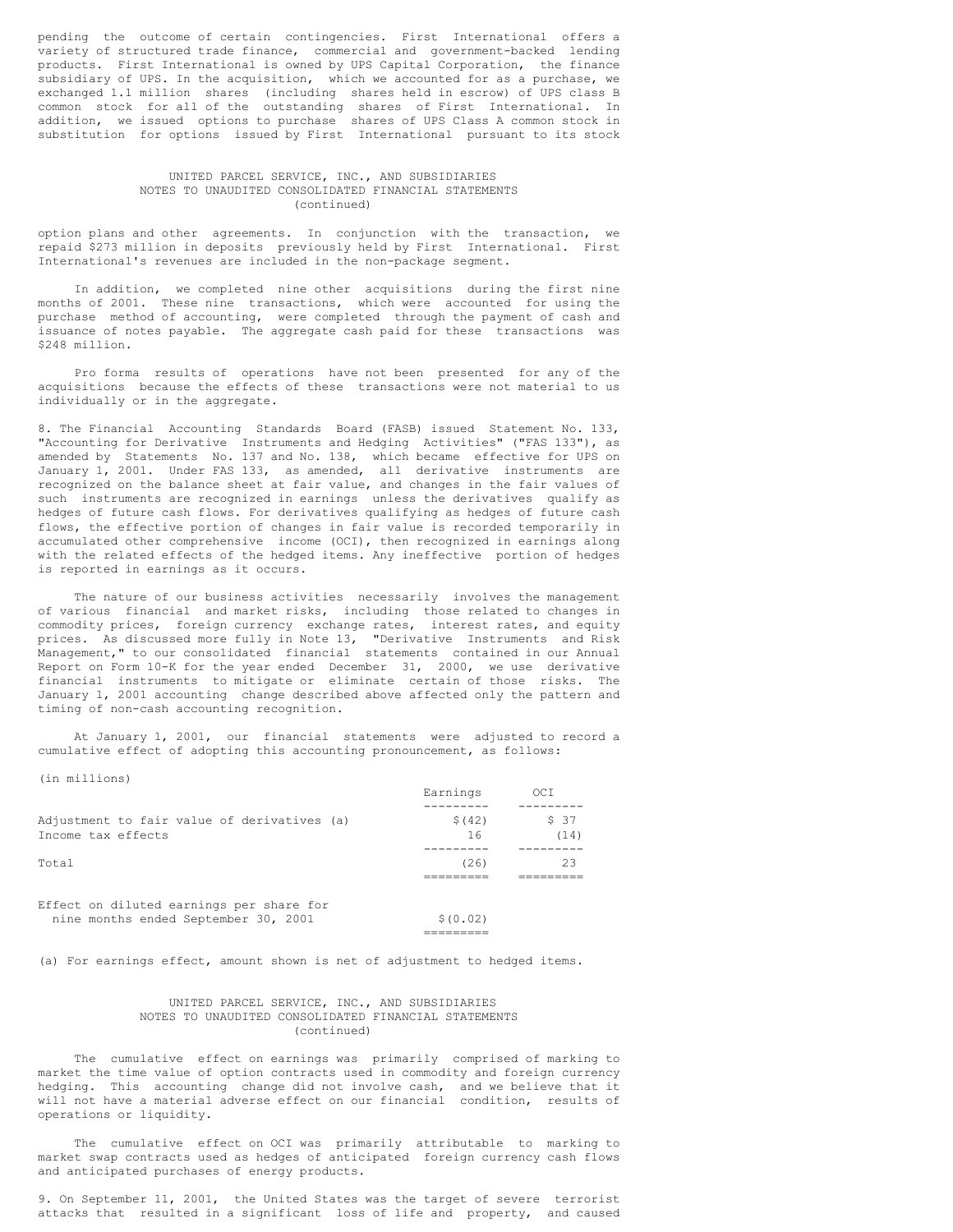pending the outcome of certain contingencies. First International offers a variety of structured trade finance, commercial and government-backed lending products. First International is owned by UPS Capital Corporation, the finance subsidiary of UPS. In the acquisition, which we accounted for as a purchase, we exchanged 1.1 million shares (including shares held in escrow) of UPS class B common stock for all of the outstanding shares of First International. In addition, we issued options to purchase shares of UPS Class A common stock in substitution for options issued by First International pursuant to its stock

### UNITED PARCEL SERVICE, INC., AND SUBSIDIARIES NOTES TO UNAUDITED CONSOLIDATED FINANCIAL STATEMENTS (continued)

option plans and other agreements. In conjunction with the transaction, we repaid \$273 million in deposits previously held by First International. First International's revenues are included in the non-package segment.

In addition, we completed nine other acquisitions during the first nine months of 2001. These nine transactions, which were accounted for using the purchase method of accounting, were completed through the payment of cash and issuance of notes payable. The aggregate cash paid for these transactions was \$248 million.

Pro forma results of operations have not been presented for any of the acquisitions because the effects of these transactions were not material to us individually or in the aggregate.

8. The Financial Accounting Standards Board (FASB) issued Statement No. 133, "Accounting for Derivative Instruments and Hedging Activities" ("FAS 133"), as amended by Statements No. 137 and No. 138, which became effective for UPS on January 1, 2001. Under FAS 133, as amended, all derivative instruments are recognized on the balance sheet at fair value, and changes in the fair values of such instruments are recognized in earnings unless the derivatives qualify as hedges of future cash flows. For derivatives qualifying as hedges of future cash flows, the effective portion of changes in fair value is recorded temporarily in accumulated other comprehensive income (OCI), then recognized in earnings along with the related effects of the hedged items. Any ineffective portion of hedges is reported in earnings as it occurs.

The nature of our business activities necessarily involves the management of various financial and market risks, including those related to changes in commodity prices, foreign currency exchange rates, interest rates, and equity prices. As discussed more fully in Note 13, "Derivative Instruments and Risk Management," to our consolidated financial statements contained in our Annual Report on Form 10-K for the year ended December 31, 2000, we use derivative financial instruments to mitigate or eliminate certain of those risks. The January 1, 2001 accounting change described above affected only the pattern and timing of non-cash accounting recognition.

At January 1, 2001, our financial statements were adjusted to record a cumulative effect of adopting this accounting pronouncement, as follows:

(in millions)

|                                                                                  | Earnings      | OCI           |
|----------------------------------------------------------------------------------|---------------|---------------|
| Adjustment to fair value of derivatives (a)<br>Income tax effects                | \$ (42)<br>16 | \$ 37<br>(14) |
| Total                                                                            | (26)          | 23            |
| Effect on diluted earnings per share for<br>nine months ended September 30, 2001 | \$ (0.02)     |               |

(a) For earnings effect, amount shown is net of adjustment to hedged items.

### UNITED PARCEL SERVICE, INC., AND SUBSIDIARIES NOTES TO UNAUDITED CONSOLIDATED FINANCIAL STATEMENTS (continued)

The cumulative effect on earnings was primarily comprised of marking to market the time value of option contracts used in commodity and foreign currency hedging. This accounting change did not involve cash, and we believe that it will not have a material adverse effect on our financial condition, results of operations or liquidity.

The cumulative effect on OCI was primarily attributable to marking to market swap contracts used as hedges of anticipated foreign currency cash flows and anticipated purchases of energy products.

9. On September 11, 2001, the United States was the target of severe terrorist attacks that resulted in a significant loss of life and property, and caused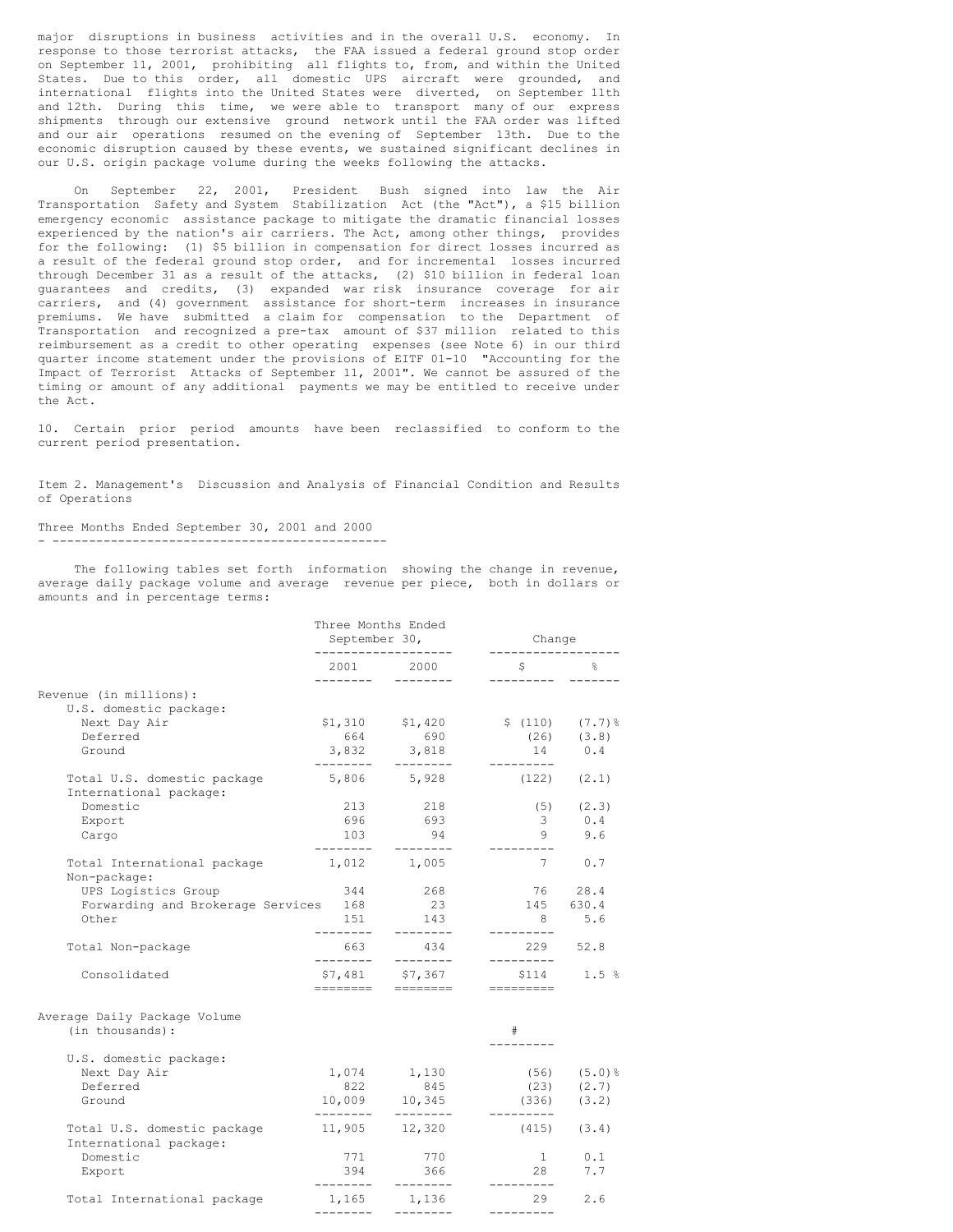major disruptions in business activities and in the overall U.S. economy. In response to those terrorist attacks, the FAA issued a federal ground stop order on September 11, 2001, prohibiting all flights to, from, and within the United States. Due to this order, all domestic UPS aircraft were grounded, and international flights into the United States were diverted, on September 11th and 12th. During this time, we were able to transport many of our express shipments through our extensive ground network until the FAA order was lifted and our air operations resumed on the evening of September 13th. Due to the economic disruption caused by these events, we sustained significant declines in our U.S. origin package volume during the weeks following the attacks.

On September 22, 2001, President Bush signed into law the Air Transportation Safety and System Stabilization Act (the "Act"), a \$15 billion emergency economic assistance package to mitigate the dramatic financial losses experienced by the nation's air carriers. The Act, among other things, provides for the following: (1) \$5 billion in compensation for direct losses incurred as a result of the federal ground stop order, and for incremental losses incurred through December 31 as a result of the attacks, (2) \$10 billion in federal loan guarantees and credits, (3) expanded war risk insurance coverage for air carriers, and (4) government assistance for short-term increases in insurance premiums. We have submitted a claim for compensation to the Department of Transportation and recognized a pre-tax amount of \$37 million related to this reimbursement as a credit to other operating expenses (see Note 6) in our third quarter income statement under the provisions of EITF 01-10 "Accounting for the Impact of Terrorist Attacks of September 11, 2001". We cannot be assured of the timing or amount of any additional payments we may be entitled to receive under the Act.

10. Certain prior period amounts have been reclassified to conform to the current period presentation.

Item 2. Management's Discussion and Analysis of Financial Condition and Results of Operations

#### Three Months Ended September 30, 2001 and 2000 - ----------------------------------------------

The following tables set forth information showing the change in revenue, average daily package volume and average revenue per piece, both in dollars or amounts and in percentage terms:

|                                                       | Three Months Ended<br>September 30,<br>------------------- |                                  | Change<br>------------------        |                       |
|-------------------------------------------------------|------------------------------------------------------------|----------------------------------|-------------------------------------|-----------------------|
|                                                       | ---------                                                  | 2001 2000<br>$- - - - - - - -$   | $\mathsf{S}$<br>----------          | 욲                     |
| Revenue (in millions):                                |                                                            |                                  |                                     |                       |
| U.S. domestic package:                                |                                                            |                                  |                                     |                       |
| Next Day Air<br>Deferred                              | 664                                                        | $$1,310$ $$1,420$<br>690         | $$(110)$ $(7.7)$ %                  |                       |
| Ground                                                |                                                            | $3,832$ $3,818$                  | 14                                  | $(26)$ $(3.8)$<br>0.4 |
| Total U.S. domestic package                           | ---------                                                  | --------<br>5,806 5,928          | ----------<br>$(122)$ $(2.1)$       |                       |
| International package:                                |                                                            |                                  |                                     |                       |
| Domestic                                              |                                                            | 213 218                          |                                     | $(5)$ $(2.3)$         |
| Export                                                |                                                            | 696 693                          |                                     | 3 0.4                 |
| Cargo                                                 | ---------                                                  | 103 94<br>---------              |                                     | 9 9.6                 |
| Total International package<br>Non-package:           |                                                            | 1,012 1,005                      | 7                                   | 0.7                   |
| UPS Logistics Group                                   | 344                                                        | 268                              |                                     | 76 28.4               |
| Forwarding and Brokerage Services 168                 |                                                            | 23                               |                                     | 145 630.4             |
| Other                                                 | 151                                                        | 143                              | 8 <sup>8</sup>                      | 5.6                   |
| Total Non-package                                     | --------<br>663<br>---------                               | ---------<br>434<br>---------    | ---------<br>229 52.8<br>---------- |                       |
| Consolidated                                          | ========                                                   | \$7,481 \$7,367<br>========      | $$114$ $1.5$ %<br>=========         |                       |
| Average Daily Package Volume                          |                                                            |                                  |                                     |                       |
| (in thousands):                                       |                                                            |                                  | #                                   |                       |
| U.S. domestic package:                                |                                                            |                                  |                                     |                       |
| Next Day Air                                          |                                                            | $1,074$ $1,130$                  |                                     | $(56)$ $(5.0)$ %      |
| Deferred                                              | 822                                                        | 845                              |                                     | $(23)$ $(2.7)$        |
| Ground                                                | ________                                                   | 10,009 10,345<br>---------       | $(336)$ $(3.2)$<br>----------       |                       |
| Total U.S. domestic package<br>International package: |                                                            | 11,905 12,320                    | $(415)$ $(3.4)$                     |                       |
| Domestic                                              |                                                            | 771 770                          | $1 \qquad \qquad$                   | 0.1                   |
| Export                                                |                                                            | 394 366                          | 28                                  | 7.7                   |
| Total International package                           |                                                            | $- - - - - - - -$<br>1,165 1,136 | ---------<br>29                     | 2.6                   |
|                                                       |                                                            | --------- --------               | ----------                          |                       |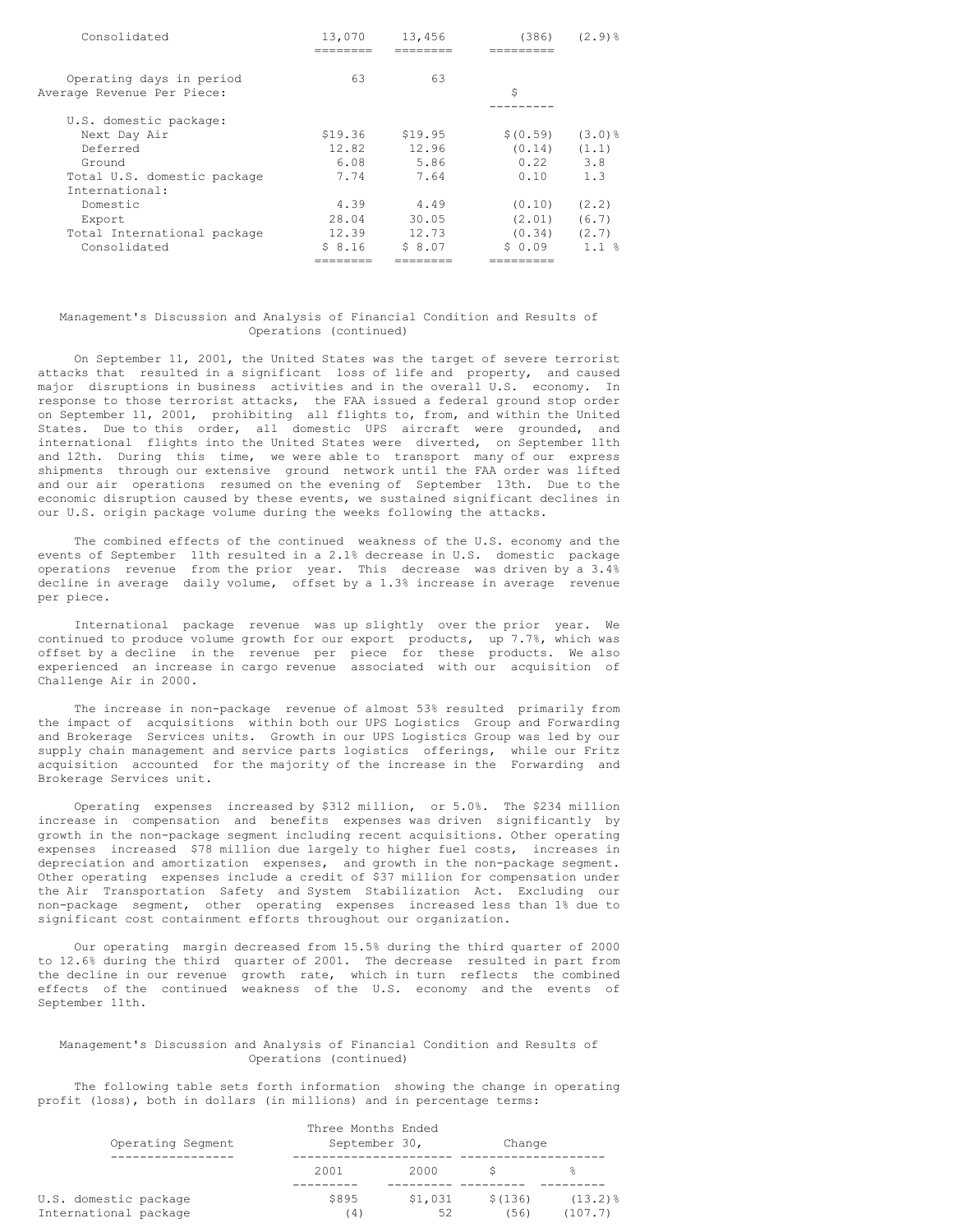| Operating days in period    | 63      | 63      |           |                |
|-----------------------------|---------|---------|-----------|----------------|
| Average Revenue Per Piece:  |         |         | \$        |                |
|                             |         |         |           |                |
| U.S. domestic package:      |         |         |           |                |
| Next Day Air                | \$19.36 | \$19.95 | \$ (0.59) | $(3.0)$ $%$    |
| Deferred                    | 12.82   | 12.96   | (0.14)    | (1.1)          |
| Ground                      | 6.08    | 5.86    | 0.22      | 3.8            |
| Total U.S. domestic package | 7.74    | 7.64    | 0.10      | 1.3            |
| International:              |         |         |           |                |
| Domestic                    | 4.39    | 4.49    | (0.10)    | (2, 2)         |
| Export                      | 28.04   | 30.05   | (2.01)    | (6.7)          |
| Total International package | 12.39   | 12.73   | (0.34)    | (2.7)          |
| Consolidated                | \$8.16  | \$ 8.07 | \$0.09    | $1.1 \text{ }$ |
|                             |         |         |           |                |

### Management's Discussion and Analysis of Financial Condition and Results of Operations (continued)

On September 11, 2001, the United States was the target of severe terrorist attacks that resulted in a significant loss of life and property, and caused major disruptions in business activities and in the overall U.S. economy. In response to those terrorist attacks, the FAA issued a federal ground stop order on September 11, 2001, prohibiting all flights to, from, and within the United States. Due to this order, all domestic UPS aircraft were grounded, and international flights into the United States were diverted, on September 11th and 12th. During this time, we were able to transport many of our express shipments through our extensive ground network until the FAA order was lifted and our air operations resumed on the evening of September 13th. Due to the economic disruption caused by these events, we sustained significant declines in our U.S. origin package volume during the weeks following the attacks.

The combined effects of the continued weakness of the U.S. economy and the events of September 11th resulted in a 2.1% decrease in U.S. domestic package operations revenue from the prior year. This decrease was driven by a 3.4% decline in average daily volume, offset by a 1.3% increase in average revenue per piece.

International package revenue was up slightly over the prior year. We continued to produce volume growth for our export products, up 7.7%, which was offset by a decline in the revenue per piece for these products. We also experienced an increase in cargo revenue associated with our acquisition of Challenge Air in 2000.

The increase in non-package revenue of almost 53% resulted primarily from the impact of acquisitions within both our UPS Logistics Group and Forwarding and Brokerage Services units. Growth in our UPS Logistics Group was led by our supply chain management and service parts logistics offerings, while our Fritz acquisition accounted for the majority of the increase in the Forwarding and Brokerage Services unit.

Operating expenses increased by \$312 million, or 5.0%. The \$234 million increase in compensation and benefits expenses was driven significantly by growth in the non-package segment including recent acquisitions. Other operating expenses increased \$78 million due largely to higher fuel costs, increases in depreciation and amortization expenses, and growth in the non-package segment. Other operating expenses include a credit of \$37 million for compensation under the Air Transportation Safety and System Stabilization Act. Excluding our non-package segment, other operating expenses increased less than 1% due to significant cost containment efforts throughout our organization.

Our operating margin decreased from 15.5% during the third quarter of 2000 to 12.6% during the third quarter of 2001. The decrease resulted in part from the decline in our revenue growth rate, which in turn reflects the combined effects of the continued weakness of the U.S. economy and the events of September 11th.

### Management's Discussion and Analysis of Financial Condition and Results of Operations (continued)

The following table sets forth information showing the change in operating profit (loss), both in dollars (in millions) and in percentage terms:

| Operating Segment                              | Three Months Ended<br>September 30,<br>Change |               |                 |                         |
|------------------------------------------------|-----------------------------------------------|---------------|-----------------|-------------------------|
|                                                | 2001                                          | 2000          |                 |                         |
| U.S. domestic package<br>International package | \$895<br>(4)                                  | \$1,031<br>52 | \$(136)<br>(56) | $(13.2)$ $%$<br>(107.7) |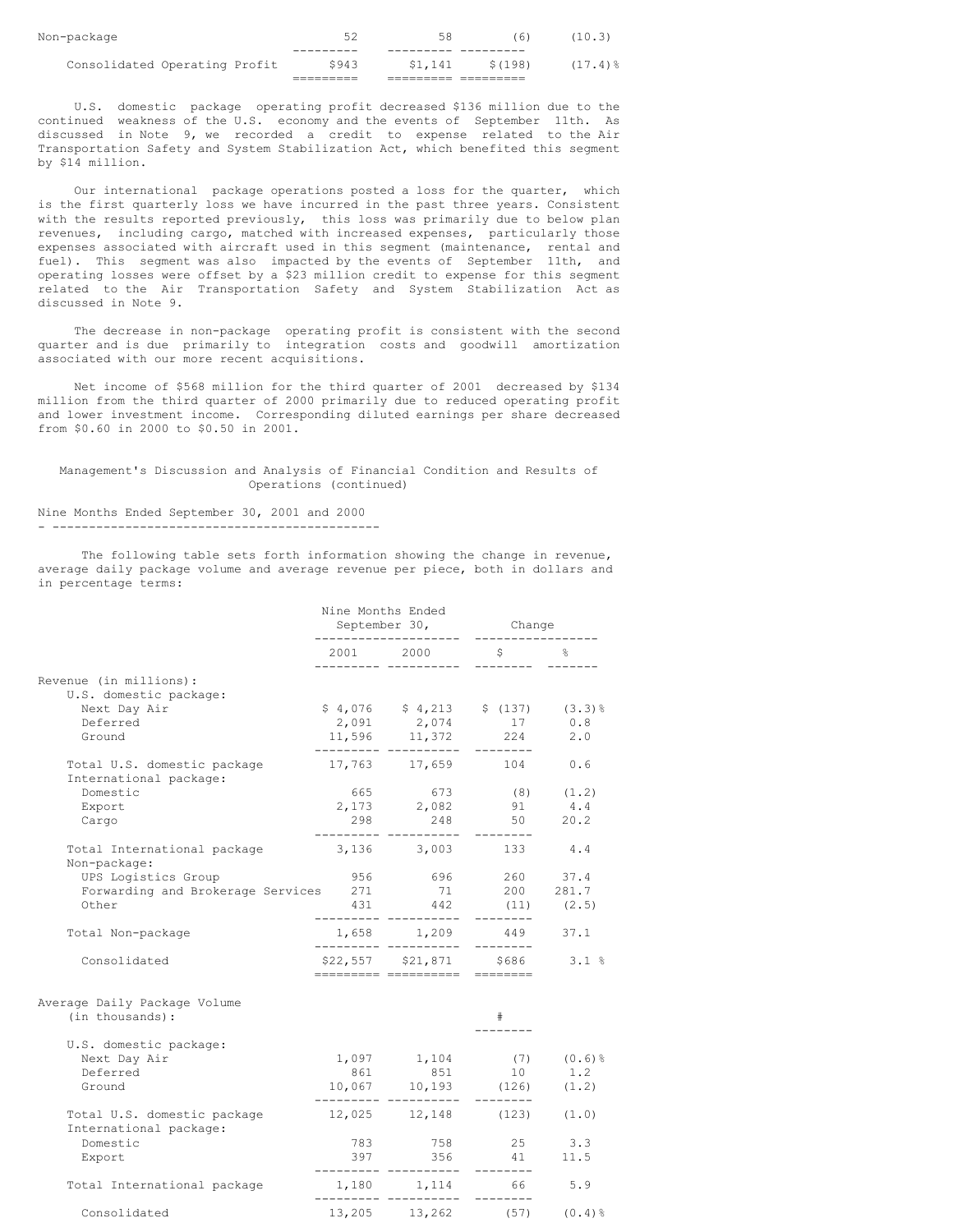| Consolidated Operating Profit | \$943 | \$1,141 | \$(198) | $(17.4)$ % |
|-------------------------------|-------|---------|---------|------------|
|                               |       |         |         |            |
| Non-package                   | -54   | 58      | (6)     | (10.3)     |
|                               |       |         |         |            |

U.S. domestic package operating profit decreased \$136 million due to the continued weakness of the U.S. economy and the events of September 11th. As discussed in Note 9, we recorded a credit to expense related to the Air Transportation Safety and System Stabilization Act, which benefited this segment by \$14 million.

Our international package operations posted a loss for the quarter, which is the first quarterly loss we have incurred in the past three years. Consistent with the results reported previously, this loss was primarily due to below plan revenues, including cargo, matched with increased expenses, particularly those expenses associated with aircraft used in this segment (maintenance, rental and fuel). This segment was also impacted by the events of September 11th, and operating losses were offset by a \$23 million credit to expense for this segment related to the Air Transportation Safety and System Stabilization Act as discussed in Note 9.

The decrease in non-package operating profit is consistent with the second quarter and is due primarily to integration costs and goodwill amortization associated with our more recent acquisitions.

Net income of \$568 million for the third quarter of 2001 decreased by \$134 million from the third quarter of 2000 primarily due to reduced operating profit and lower investment income. Corresponding diluted earnings per share decreased from \$0.60 in 2000 to \$0.50 in 2001.

Management's Discussion and Analysis of Financial Condition and Results of Operations (continued)

Nine Months Ended September 30, 2001 and 2000 - ---------------------------------------------

The following table sets forth information showing the change in revenue, average daily package volume and average revenue per piece, both in dollars and in percentage terms:

|                                                       | Nine Months Ended<br>September 30,<br>-------------------- |                                                                                       | Change<br>-------------                |             |
|-------------------------------------------------------|------------------------------------------------------------|---------------------------------------------------------------------------------------|----------------------------------------|-------------|
|                                                       |                                                            | $2001$ $2000$                                                                         | $\mathsf{S}$ . The set of $\mathsf{S}$ |             |
| Revenue (in millions):                                |                                                            |                                                                                       |                                        |             |
| U.S. domestic package:                                |                                                            |                                                                                       |                                        |             |
| Next Day Air                                          |                                                            | $$4,076$ $$4,213$ $$(137)$ $(3.3)\%$                                                  |                                        |             |
| Deferred                                              |                                                            | $2,091$ $2,074$ $17$                                                                  |                                        | 0.8         |
| Ground                                                |                                                            | 11,596 11,372 224 2.0<br>--------- ----------                                         | ---------                              |             |
| Total U.S. domestic package<br>International package: |                                                            | 17,763 17,659 104 0.6                                                                 |                                        |             |
| Domestic                                              |                                                            |                                                                                       | (8)                                    | (1.2)       |
| Export                                                |                                                            | $665$ $673$<br>2,173 2,082                                                            | 91                                     | 4.4         |
| Cargo                                                 | 298                                                        |                                                                                       | 248 50 20.2                            |             |
| Total International package<br>Non-package:           |                                                            | --------- ---------- -------<br>3,136 3,003 133                                       |                                        | 4.4         |
| UPS Logistics Group                                   | 956                                                        |                                                                                       | 696 260 37.4                           |             |
| Forwarding and Brokerage Services 271                 |                                                            |                                                                                       | 200                                    | 281.7       |
| Other                                                 |                                                            | $271$ $71$<br>431 $442$                                                               | (11)<br>--------                       | (2.5)       |
| Total Non-package                                     |                                                            | $1,658$ $1,209$ $449$ $37.1$<br>-------- --------- --------                           |                                        |             |
| Consolidated                                          |                                                            | $$22,557$ $$21,871$ $$686$ $3.1$ %<br>========== ========== =========                 |                                        |             |
| Average Daily Package Volume<br>(in thousands):       |                                                            |                                                                                       | #                                      |             |
| U.S. domestic package:                                |                                                            |                                                                                       |                                        |             |
| Next Day Air                                          |                                                            | 1,097 1,104 (7) $(0.6)$ <sup>8</sup>                                                  |                                        |             |
| Deferred                                              |                                                            | $\begin{array}{cccc} & 861 & & 851 & & 10 \\ 10,067 & & 10,193 & & (126) \end{array}$ |                                        | 1.2         |
| Ground                                                |                                                            |                                                                                       |                                        | (1.2)       |
| Total U.S. domestic package<br>International package: |                                                            | $12,025$ $12,148$ $(123)$ $(1.0)$                                                     |                                        |             |
| Domestic                                              |                                                            | 783 758 25 3.3                                                                        |                                        |             |
| Export                                                |                                                            | 397 356<br>--- ---------- -                                                           |                                        | 41 11.5     |
| Total International package                           |                                                            | 1,180 1,114                                                                           | ---------<br>66                        | 5.9         |
| Consolidated                                          |                                                            | 13,205 13,262                                                                         | (57)                                   | $(0.4)$ $%$ |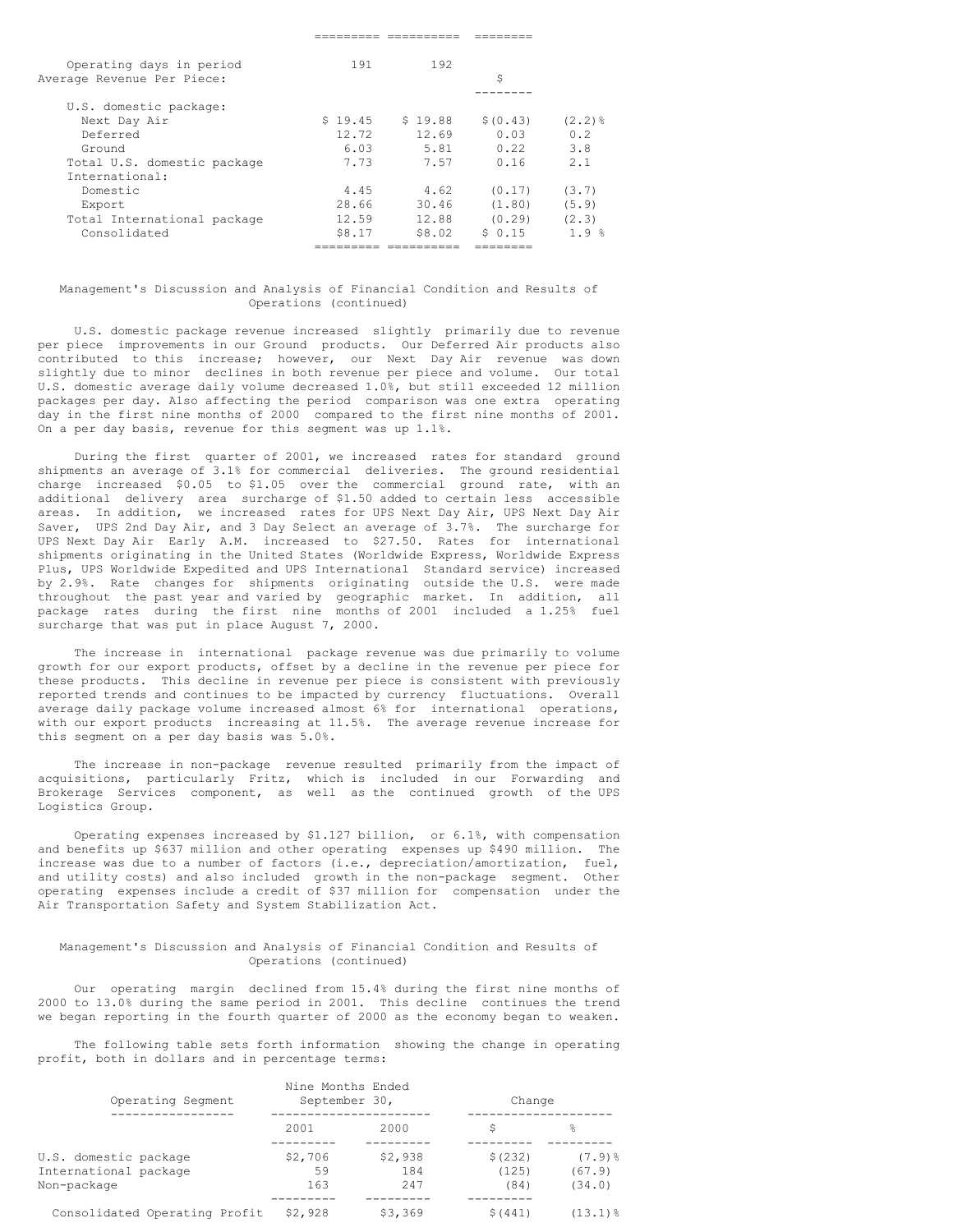| Operating days in period    | 191     | 192     |           |                       |
|-----------------------------|---------|---------|-----------|-----------------------|
| Average Revenue Per Piece:  |         |         | \$        |                       |
|                             |         |         |           |                       |
| U.S. domestic package:      |         |         |           |                       |
| Next Day Air                | \$19.45 | \$19.88 | \$ (0.43) | $(2,2)$ $\frac{6}{5}$ |
| Deferred                    | 12.72   | 12.69   | 0.03      | 0.2                   |
| Ground                      | 6.03    | 5.81    | 0.22      | 3.8                   |
| Total U.S. domestic package | 7.73    | 7.57    | 0.16      | 2.1                   |
| International:              |         |         |           |                       |
| Domestic                    | 4.45    | 4.62    | (0.17)    | (3.7)                 |
| Export                      | 28.66   | 30.46   | (1.80)    | (5.9)                 |
| Total International package | 12.59   | 12.88   | (0.29)    | (2.3)                 |
| Consolidated                | S8.17   | \$8.02  | \$0.15    | 1.9 <sup>8</sup>      |
|                             |         |         |           |                       |
|                             |         |         |           |                       |

### Management's Discussion and Analysis of Financial Condition and Results of Operations (continued)

U.S. domestic package revenue increased slightly primarily due to revenue per piece improvements in our Ground products. Our Deferred Air products also contributed to this increase; however, our Next Day Air revenue was down slightly due to minor declines in both revenue per piece and volume. Our total U.S. domestic average daily volume decreased 1.0%, but still exceeded 12 million packages per day. Also affecting the period comparison was one extra operating day in the first nine months of 2000 compared to the first nine months of 2001. On a per day basis, revenue for this segment was up 1.1%.

During the first quarter of 2001, we increased rates for standard ground shipments an average of 3.1% for commercial deliveries. The ground residential charge increased \$0.05 to \$1.05 over the commercial ground rate, with an additional delivery area surcharge of \$1.50 added to certain less accessible areas. In addition, we increased rates for UPS Next Day Air, UPS Next Day Air Saver, UPS 2nd Day Air, and 3 Day Select an average of 3.7%. The surcharge for UPS Next Day Air Early A.M. increased to \$27.50. Rates for international shipments originating in the United States (Worldwide Express, Worldwide Express Plus, UPS Worldwide Expedited and UPS International Standard service) increased by 2.9%. Rate changes for shipments originating outside the U.S. were made throughout the past year and varied by geographic market. In addition, all package rates during the first nine months of 2001 included a 1.25% fuel surcharge that was put in place August 7, 2000.

The increase in international package revenue was due primarily to volume growth for our export products, offset by a decline in the revenue per piece for these products. This decline in revenue per piece is consistent with previously reported trends and continues to be impacted by currency fluctuations. Overall average daily package volume increased almost 6% for international operations, with our export products increasing at 11.5%. The average revenue increase for this segment on a per day basis was 5.0%.

The increase in non-package revenue resulted primarily from the impact of acquisitions, particularly Fritz, which is included in our Forwarding and Brokerage Services component, as well as the continued growth of the UPS Logistics Group.

Operating expenses increased by \$1.127 billion, or 6.1%, with compensation and benefits up \$637 million and other operating expenses up \$490 million. The increase was due to a number of factors (i.e., depreciation/amortization, fuel, and utility costs) and also included growth in the non-package segment. Other operating expenses include a credit of \$37 million for compensation under the Air Transportation Safety and System Stabilization Act.

### Management's Discussion and Analysis of Financial Condition and Results of Operations (continued)

Our operating margin declined from 15.4% during the first nine months of 2000 to 13.0% during the same period in 2001. This decline continues the trend we began reporting in the fourth quarter of 2000 as the economy began to weaken.

The following table sets forth information showing the change in operating profit, both in dollars and in percentage terms:

| Operating Segment             | Nine Months Ended<br>September 30, |         | Change  |             |
|-------------------------------|------------------------------------|---------|---------|-------------|
|                               | 2001                               | 2000    | S       | 응           |
| U.S. domestic package         | \$2,706                            | \$2,938 | \$(232) | $(7.9)$ $%$ |
| International package         | 59                                 | 184     | (125)   | (67.9)      |
| Non-package                   | 163                                | 247     | (84)    | (34.0)      |
|                               |                                    |         |         |             |
| Consolidated Operating Profit | \$2,928                            | \$3,369 | \$(441) | (13.1)음     |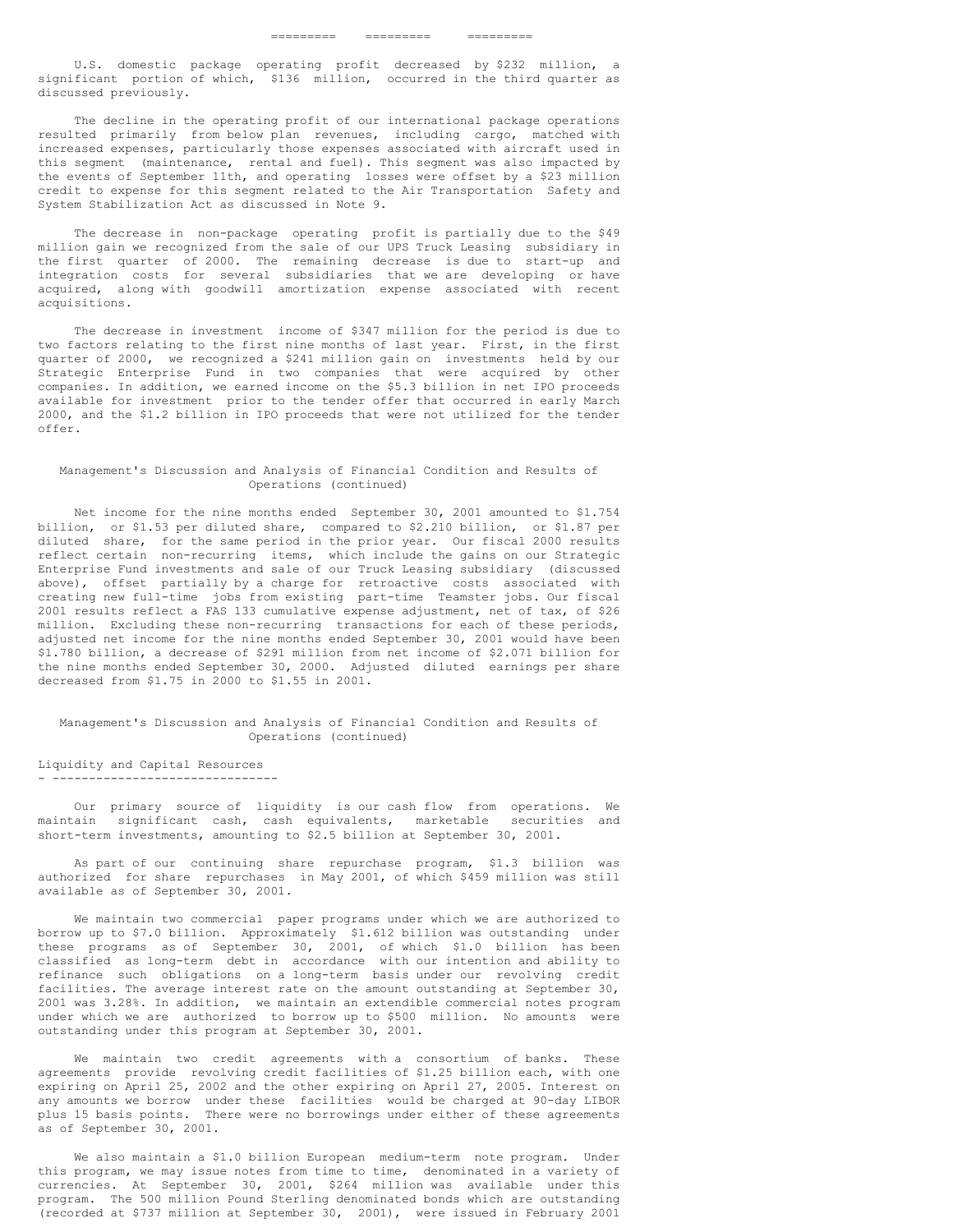U.S. domestic package operating profit decreased by \$232 million, a significant portion of which, \$136 million, occurred in the third quarter as discussed previously.

The decline in the operating profit of our international package operations resulted primarily from below plan revenues, including cargo, matched with increased expenses, particularly those expenses associated with aircraft used in this segment (maintenance, rental and fuel). This segment was also impacted by the events of September 11th, and operating losses were offset by a \$23 million credit to expense for this segment related to the Air Transportation Safety and System Stabilization Act as discussed in Note 9.

The decrease in non-package operating profit is partially due to the \$49 million gain we recognized from the sale of our UPS Truck Leasing subsidiary in the first quarter of 2000. The remaining decrease is due to start-up and integration costs for several subsidiaries that we are developing or have acquired, along with goodwill amortization expense associated with recent acquisitions.

The decrease in investment income of \$347 million for the period is due to two factors relating to the first nine months of last year. First, in the first quarter of 2000, we recognized a \$241 million gain on investments held by our Strategic Enterprise Fund in two companies that were acquired by other companies. In addition, we earned income on the \$5.3 billion in net IPO proceeds available for investment prior to the tender offer that occurred in early March 2000, and the \$1.2 billion in IPO proceeds that were not utilized for the tender offer.

### Management's Discussion and Analysis of Financial Condition and Results of Operations (continued)

Net income for the nine months ended September 30, 2001 amounted to \$1.754 billion, or \$1.53 per diluted share, compared to \$2.210 billion, or \$1.87 per diluted share, for the same period in the prior year. Our fiscal 2000 results reflect certain non-recurring items, which include the gains on our Strategic Enterprise Fund investments and sale of our Truck Leasing subsidiary (discussed above), offset partially by a charge for retroactive costs associated with creating new full-time jobs from existing part-time Teamster jobs. Our fiscal 2001 results reflect a FAS 133 cumulative expense adjustment, net of tax, of \$26 million. Excluding these non-recurring transactions for each of these periods, adjusted net income for the nine months ended September 30, 2001 would have been \$1.780 billion, a decrease of \$291 million from net income of \$2.071 billion for the nine months ended September 30, 2000. Adjusted diluted earnings per share decreased from \$1.75 in 2000 to \$1.55 in 2001.

### Management's Discussion and Analysis of Financial Condition and Results of Operations (continued)

#### Liquidity and Capital Resources - -------------------------------

Our primary source of liquidity is our cash flow from operations. We maintain significant cash, cash equivalents, marketable securities and short-term investments, amounting to \$2.5 billion at September 30, 2001.

As part of our continuing share repurchase program, \$1.3 billion was authorized for share repurchases in May 2001, of which \$459 million was still available as of September 30, 2001.

We maintain two commercial paper programs under which we are authorized to borrow up to \$7.0 billion. Approximately \$1.612 billion was outstanding under these programs as of September 30, 2001, of which \$1.0 billion has been classified as long-term debt in accordance with our intention and ability to refinance such obligations on a long-term basis under our revolving credit facilities. The average interest rate on the amount outstanding at September 30, 2001 was 3.28%. In addition, we maintain an extendible commercial notes program under which we are authorized to borrow up to \$500 million. No amounts were outstanding under this program at September 30, 2001.

We maintain two credit agreements with a consortium of banks. These agreements provide revolving credit facilities of \$1.25 billion each, with one expiring on April 25, 2002 and the other expiring on April 27, 2005. Interest on any amounts we borrow under these facilities would be charged at 90-day LIBOR plus 15 basis points. There were no borrowings under either of these agreements as of September 30, 2001.

We also maintain a \$1.0 billion European medium-term note program. Under this program, we may issue notes from time to time, denominated in a variety of currencies. At September 30, 2001, \$264 million was available under this program. The 500 million Pound Sterling denominated bonds which are outstanding (recorded at \$737 million at September 30, 2001), were issued in February 2001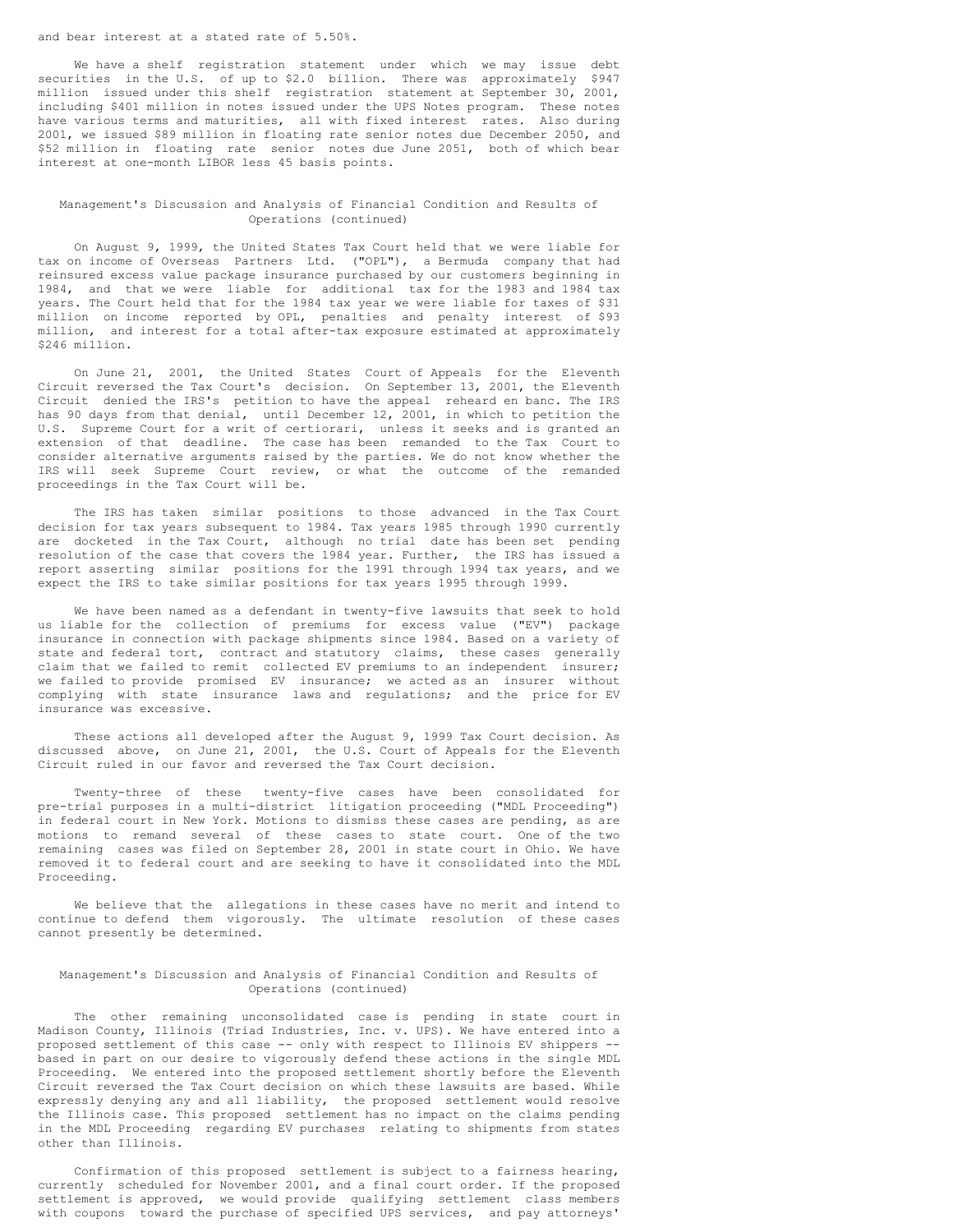#### and bear interest at a stated rate of 5.50%.

We have a shelf registration statement under which we may issue debt securities in the U.S. of up to \$2.0 billion. There was approximately \$947 million issued under this shelf registration statement at September 30, 2001, including \$401 million in notes issued under the UPS Notes program. These notes have various terms and maturities, all with fixed interest rates. Also during 2001, we issued \$89 million in floating rate senior notes due December 2050, and \$52 million in floating rate senior notes due June 2051, both of which bear interest at one-month LIBOR less 45 basis points.

### Management's Discussion and Analysis of Financial Condition and Results of Operations (continued)

On August 9, 1999, the United States Tax Court held that we were liable for tax on income of Overseas Partners Ltd. ("OPL"), a Bermuda company that had reinsured excess value package insurance purchased by our customers beginning in 1984, and that we were liable for additional tax for the 1983 and 1984 tax years. The Court held that for the 1984 tax year we were liable for taxes of \$31 million on income reported by OPL, penalties and penalty interest of \$93 million, and interest for a total after-tax exposure estimated at approximately \$246 million.

On June 21, 2001, the United States Court of Appeals for the Eleventh Circuit reversed the Tax Court's decision. On September 13, 2001, the Eleventh Circuit denied the IRS's petition to have the appeal reheard en banc. The IRS has 90 days from that denial, until December 12, 2001, in which to petition the U.S. Supreme Court for a writ of certiorari, unless it seeks and is granted an extension of that deadline. The case has been remanded to the Tax Court to consider alternative arguments raised by the parties. We do not know whether the IRS will seek Supreme Court review, or what the outcome of the remanded proceedings in the Tax Court will be.

The IRS has taken similar positions to those advanced in the Tax Court decision for tax years subsequent to 1984. Tax years 1985 through 1990 currently are docketed in the Tax Court, although no trial date has been set pending resolution of the case that covers the 1984 year. Further, the IRS has issued a report asserting similar positions for the 1991 through 1994 tax years, and we expect the IRS to take similar positions for tax years 1995 through 1999.

We have been named as a defendant in twenty-five lawsuits that seek to hold us liable for the collection of premiums for excess value ("EV") package insurance in connection with package shipments since 1984. Based on a variety of state and federal tort, contract and statutory claims, these cases generally claim that we failed to remit collected EV premiums to an independent insurer; we failed to provide promised EV insurance; we acted as an insurer without complying with state insurance laws and regulations; and the price for EV insurance was excessive.

These actions all developed after the August 9, 1999 Tax Court decision. As discussed above, on June 21, 2001, the U.S. Court of Appeals for the Eleventh Circuit ruled in our favor and reversed the Tax Court decision.

Twenty-three of these twenty-five cases have been consolidated for pre-trial purposes in a multi-district litigation proceeding ("MDL Proceeding") in federal court in New York. Motions to dismiss these cases are pending, as are motions to remand several of these cases to state court. One of the two remaining cases was filed on September 28, 2001 in state court in Ohio. We have removed it to federal court and are seeking to have it consolidated into the MDL Proceeding.

We believe that the allegations in these cases have no merit and intend to continue to defend them vigorously. The ultimate resolution of these cases cannot presently be determined.

### Management's Discussion and Analysis of Financial Condition and Results of Operations (continued)

The other remaining unconsolidated case is pending in state court in Madison County, Illinois (Triad Industries, Inc. v. UPS). We have entered into a proposed settlement of this case -- only with respect to Illinois EV shippers - based in part on our desire to vigorously defend these actions in the single MDL Proceeding. We entered into the proposed settlement shortly before the Eleventh Circuit reversed the Tax Court decision on which these lawsuits are based. While expressly denying any and all liability, the proposed settlement would resolve the Illinois case. This proposed settlement has no impact on the claims pending in the MDL Proceeding regarding EV purchases relating to shipments from states other than Illinois.

Confirmation of this proposed settlement is subject to a fairness hearing, currently scheduled for November 2001, and a final court order. If the proposed settlement is approved, we would provide qualifying settlement class members with coupons toward the purchase of specified UPS services, and pay attorneys'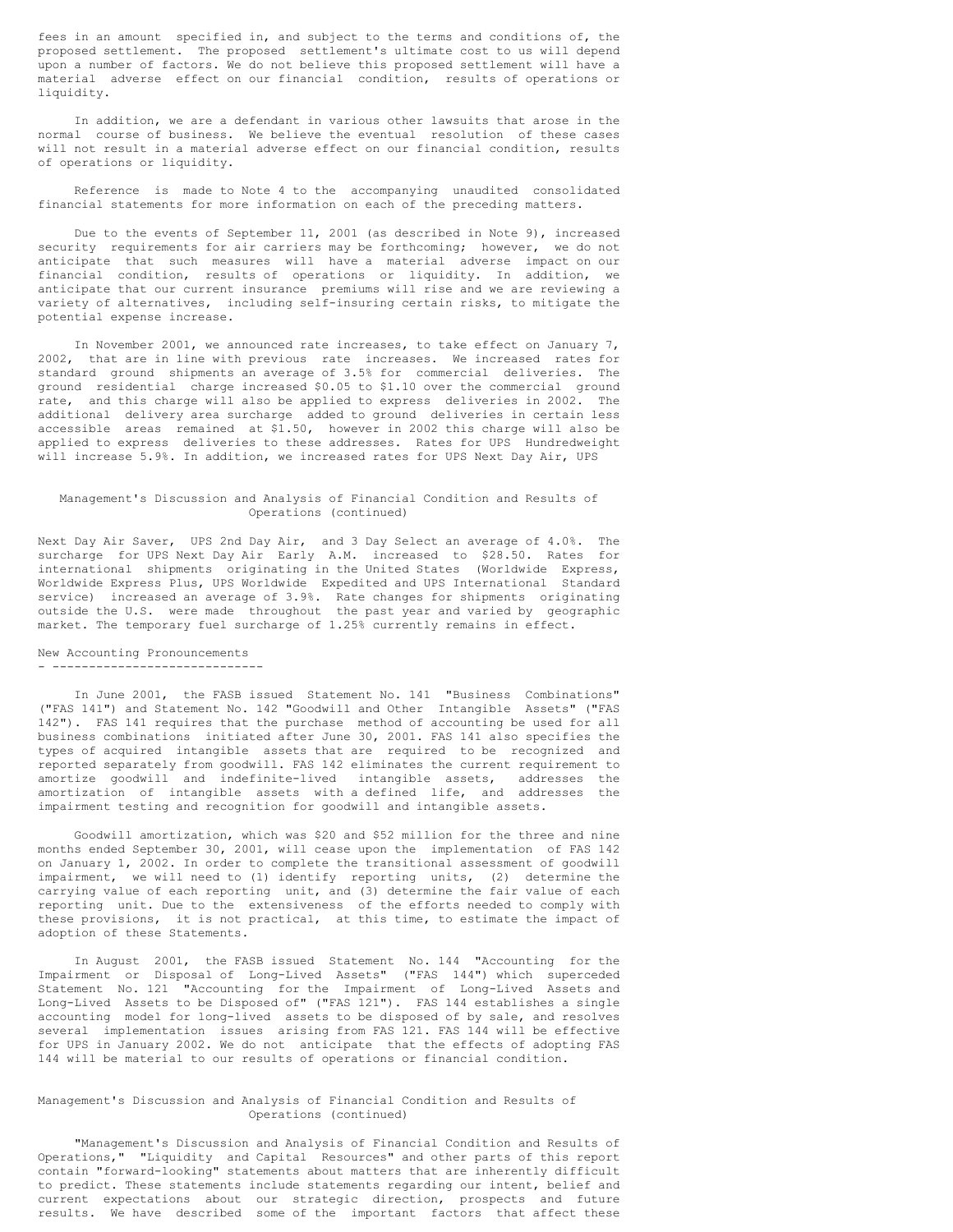fees in an amount specified in, and subject to the terms and conditions of, the proposed settlement. The proposed settlement's ultimate cost to us will depend upon a number of factors. We do not believe this proposed settlement will have a material adverse effect on our financial condition, results of operations or liquidity.

In addition, we are a defendant in various other lawsuits that arose in the normal course of business. We believe the eventual resolution of these cases will not result in a material adverse effect on our financial condition, results of operations or liquidity.

Reference is made to Note 4 to the accompanying unaudited consolidated financial statements for more information on each of the preceding matters.

Due to the events of September 11, 2001 (as described in Note 9), increased security requirements for air carriers may be forthcoming; however, we do not anticipate that such measures will have a material adverse impact on our financial condition, results of operations or liquidity. In addition, we anticipate that our current insurance premiums will rise and we are reviewing a variety of alternatives, including self-insuring certain risks, to mitigate the potential expense increase.

In November 2001, we announced rate increases, to take effect on January 7, 2002, that are in line with previous rate increases. We increased rates for standard ground shipments an average of 3.5% for commercial deliveries. The ground residential charge increased \$0.05 to \$1.10 over the commercial ground rate, and this charge will also be applied to express deliveries in 2002. The additional delivery area surcharge added to ground deliveries in certain less accessible areas remained at \$1.50, however in 2002 this charge will also be applied to express deliveries to these addresses. Rates for UPS Hundredweight will increase 5.9%. In addition, we increased rates for UPS Next Day Air, UPS

### Management's Discussion and Analysis of Financial Condition and Results of Operations (continued)

Next Day Air Saver, UPS 2nd Day Air, and 3 Day Select an average of 4.0%. The surcharge for UPS Next Day Air Early A.M. increased to \$28.50. Rates for international shipments originating in the United States (Worldwide Express, Worldwide Express Plus, UPS Worldwide Expedited and UPS International Standard service) increased an average of 3.9%. Rate changes for shipments originating outside the U.S. were made throughout the past year and varied by geographic market. The temporary fuel surcharge of 1.25% currently remains in effect.

#### New Accounting Pronouncements - -----------------------------

In June 2001, the FASB issued Statement No. 141 "Business Combinations" ("FAS 141") and Statement No. 142 "Goodwill and Other Intangible Assets" ("FAS 142"). FAS 141 requires that the purchase method of accounting be used for all business combinations initiated after June 30, 2001. FAS 141 also specifies the types of acquired intangible assets that are required to be recognized and reported separately from goodwill. FAS 142 eliminates the current requirement to amortize goodwill and indefinite-lived intangible assets, addresses the amortization of intangible assets with a defined life, and addresses the impairment testing and recognition for goodwill and intangible assets.

Goodwill amortization, which was \$20 and \$52 million for the three and nine months ended September 30, 2001, will cease upon the implementation of FAS 142 on January 1, 2002. In order to complete the transitional assessment of goodwill impairment, we will need to (1) identify reporting units, (2) determine the carrying value of each reporting unit, and (3) determine the fair value of each reporting unit. Due to the extensiveness of the efforts needed to comply with these provisions, it is not practical, at this time, to estimate the impact of adoption of these Statements.

In August 2001, the FASB issued Statement No. 144 "Accounting for the Impairment or Disposal of Long-Lived Assets" ("FAS 144") which superceded Statement No. 121 "Accounting for the Impairment of Long-Lived Assets and Long-Lived Assets to be Disposed of" ("FAS 121"). FAS 144 establishes a single accounting model for long-lived assets to be disposed of by sale, and resolves several implementation issues arising from FAS 121. FAS 144 will be effective for UPS in January 2002. We do not anticipate that the effects of adopting FAS 144 will be material to our results of operations or financial condition.

### Management's Discussion and Analysis of Financial Condition and Results of Operations (continued)

"Management's Discussion and Analysis of Financial Condition and Results of Operations," "Liquidity and Capital Resources" and other parts of this report contain "forward-looking" statements about matters that are inherently difficult to predict. These statements include statements regarding our intent, belief and current expectations about our strategic direction, prospects and future results. We have described some of the important factors that affect these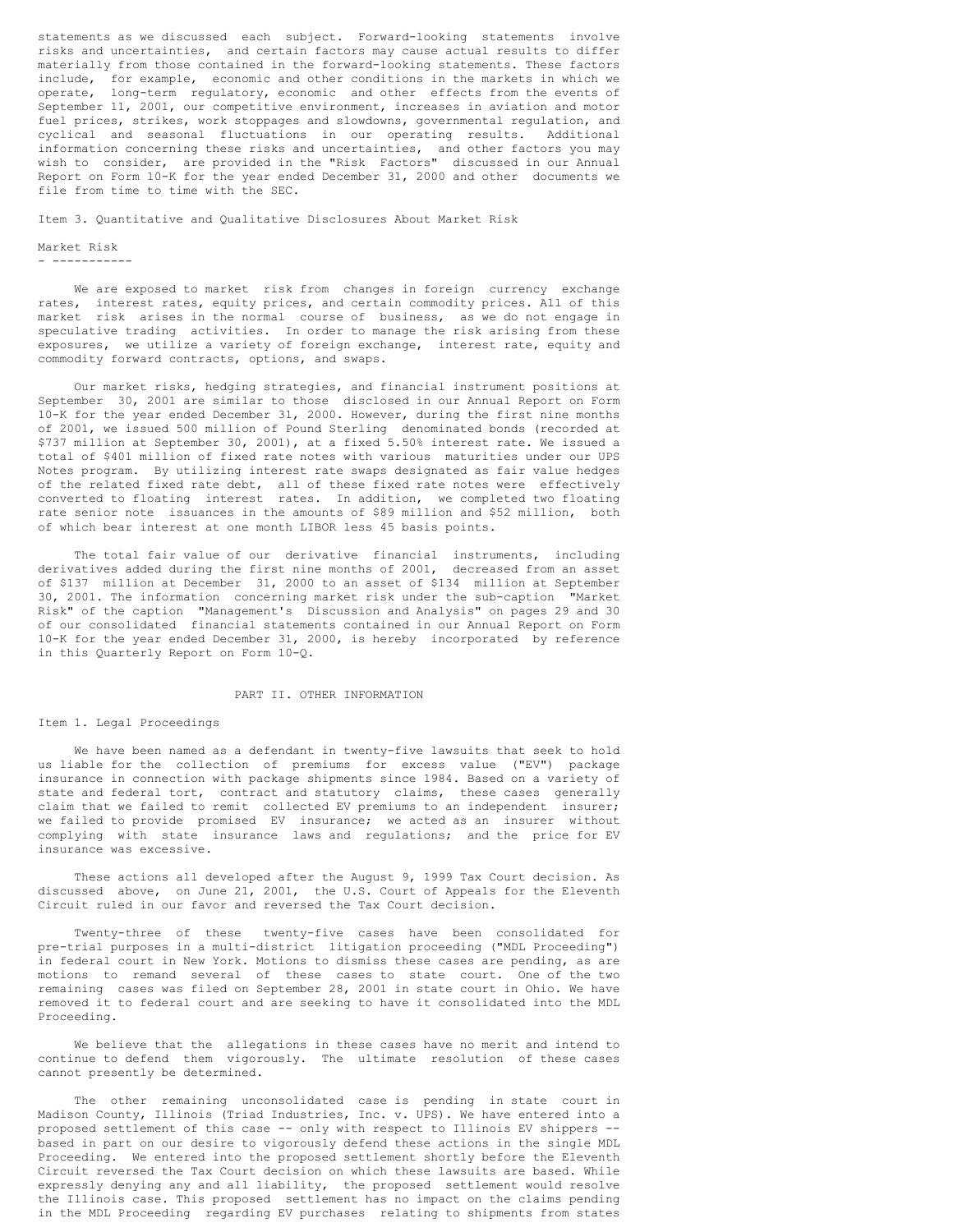statements as we discussed each subject. Forward-looking statements involve risks and uncertainties, and certain factors may cause actual results to differ materially from those contained in the forward-looking statements. These factors include, for example, economic and other conditions in the markets in which we operate, long-term regulatory, economic and other effects from the events of September 11, 2001, our competitive environment, increases in aviation and motor fuel prices, strikes, work stoppages and slowdowns, governmental regulation, and cyclical and seasonal fluctuations in our operating results. Additional information concerning these risks and uncertainties, and other factors you may wish to consider, are provided in the "Risk Factors" discussed in our Annual Report on Form 10-K for the year ended December 31, 2000 and other documents we file from time to time with the SEC.

Item 3. Quantitative and Qualitative Disclosures About Market Risk

### Market Risk

- -----------

We are exposed to market risk from changes in foreign currency exchange rates, interest rates, equity prices, and certain commodity prices. All of this market risk arises in the normal course of business, as we do not engage in speculative trading activities. In order to manage the risk arising from these exposures, we utilize a variety of foreign exchange, interest rate, equity and commodity forward contracts, options, and swaps.

Our market risks, hedging strategies, and financial instrument positions at September 30, 2001 are similar to those disclosed in our Annual Report on Form 10-K for the year ended December 31, 2000. However, during the first nine months of 2001, we issued 500 million of Pound Sterling denominated bonds (recorded at \$737 million at September 30, 2001), at a fixed 5.50% interest rate. We issued a total of \$401 million of fixed rate notes with various maturities under our UPS Notes program. By utilizing interest rate swaps designated as fair value hedges of the related fixed rate debt, all of these fixed rate notes were effectively converted to floating interest rates. In addition, we completed two floating rate senior note issuances in the amounts of \$89 million and \$52 million, both of which bear interest at one month LIBOR less 45 basis points.

The total fair value of our derivative financial instruments, including derivatives added during the first nine months of 2001, decreased from an asset of \$137 million at December 31, 2000 to an asset of \$134 million at September 30, 2001. The information concerning market risk under the sub-caption "Market Risk" of the caption "Management's Discussion and Analysis" on pages 29 and 30 of our consolidated financial statements contained in our Annual Report on Form 10-K for the year ended December 31, 2000, is hereby incorporated by reference in this Quarterly Report on Form 10-Q.

#### PART II. OTHER INFORMATION

#### Item 1. Legal Proceedings

We have been named as a defendant in twenty-five lawsuits that seek to hold us liable for the collection of premiums for excess value ("EV") package insurance in connection with package shipments since 1984. Based on a variety of state and federal tort, contract and statutory claims, these cases generally claim that we failed to remit collected EV premiums to an independent insurer; we failed to provide promised EV insurance; we acted as an insurer without complying with state insurance laws and regulations; and the price for EV insurance was excessive.

These actions all developed after the August 9, 1999 Tax Court decision. As discussed above, on June 21, 2001, the U.S. Court of Appeals for the Eleventh Circuit ruled in our favor and reversed the Tax Court decision.

Twenty-three of these twenty-five cases have been consolidated for pre-trial purposes in a multi-district litigation proceeding ("MDL Proceeding") in federal court in New York. Motions to dismiss these cases are pending, as are motions to remand several of these cases to state court. One of the two remaining cases was filed on September 28, 2001 in state court in Ohio. We have removed it to federal court and are seeking to have it consolidated into the MDL Proceeding.

We believe that the allegations in these cases have no merit and intend to continue to defend them vigorously. The ultimate resolution of these cases cannot presently be determined.

The other remaining unconsolidated case is pending in state court in Madison County, Illinois (Triad Industries, Inc. v. UPS). We have entered into a proposed settlement of this case -- only with respect to Illinois EV shippers - based in part on our desire to vigorously defend these actions in the single MDL Proceeding. We entered into the proposed settlement shortly before the Eleventh Circuit reversed the Tax Court decision on which these lawsuits are based. While expressly denying any and all liability, the proposed settlement would resolve the Illinois case. This proposed settlement has no impact on the claims pending in the MDL Proceeding regarding EV purchases relating to shipments from states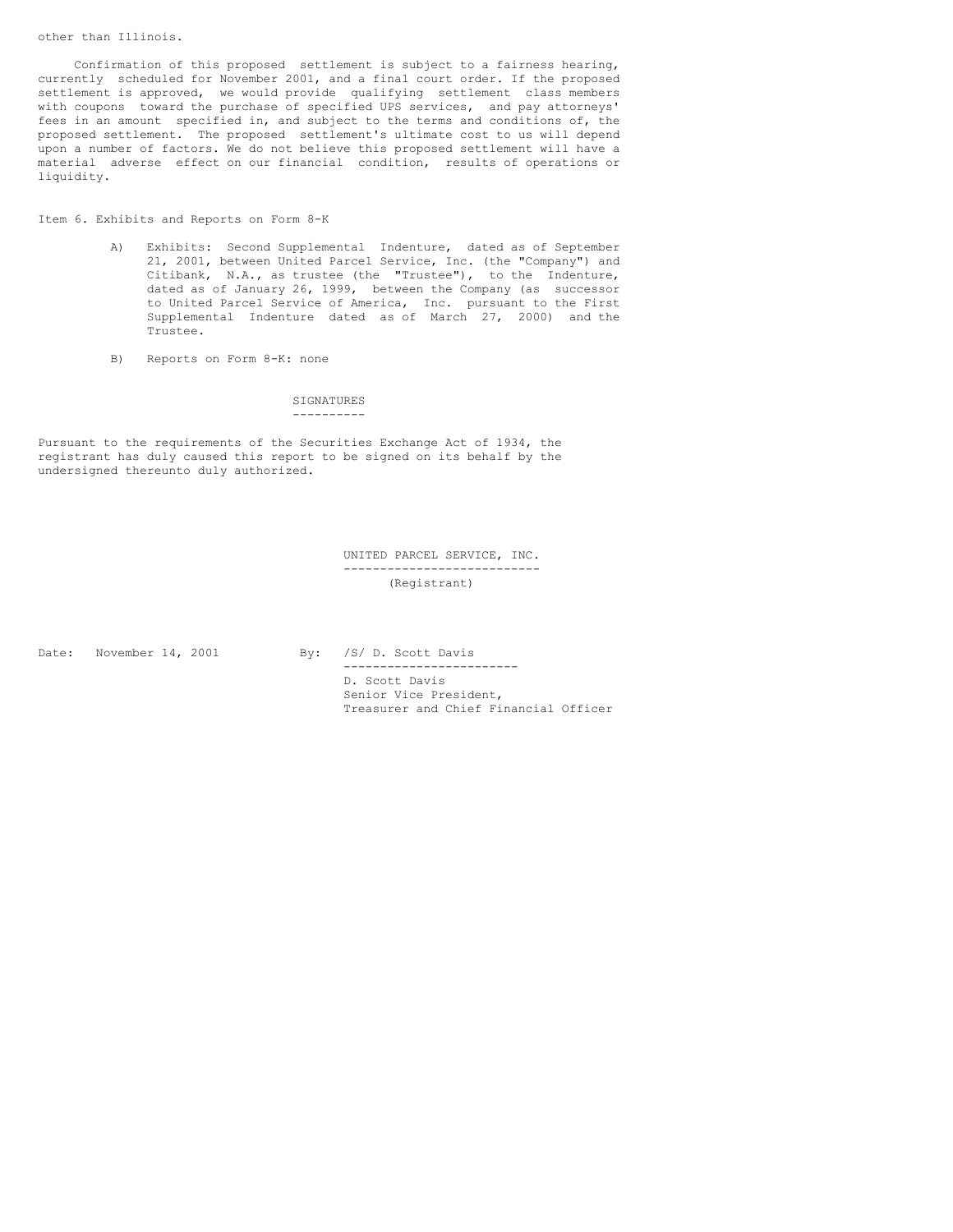Confirmation of this proposed settlement is subject to a fairness hearing, currently scheduled for November 2001, and a final court order. If the proposed settlement is approved, we would provide qualifying settlement class members with coupons toward the purchase of specified UPS services, and pay attorneys' fees in an amount specified in, and subject to the terms and conditions of, the proposed settlement. The proposed settlement's ultimate cost to us will depend upon a number of factors. We do not believe this proposed settlement will have a material adverse effect on our financial condition, results of operations or liquidity.

Item 6. Exhibits and Reports on Form 8-K

- A) Exhibits: Second Supplemental Indenture, dated as of September 21, 2001, between United Parcel Service, Inc. (the "Company") and Citibank, N.A., as trustee (the "Trustee"), to the Indenture, dated as of January 26, 1999, between the Company (as successor to United Parcel Service of America, Inc. pursuant to the First Supplemental Indenture dated as of March 27, 2000) and the Trustee.
- B) Reports on Form 8-K: none

**SIGNATURES** ----------

Pursuant to the requirements of the Securities Exchange Act of 1934, the registrant has duly caused this report to be signed on its behalf by the undersigned thereunto duly authorized.

> UNITED PARCEL SERVICE, INC. --------------------------- (Registrant)

Date: November 14, 2001 By: /S/ D. Scott Davis

------------------------ D. Scott Davis Senior Vice President, Treasurer and Chief Financial Officer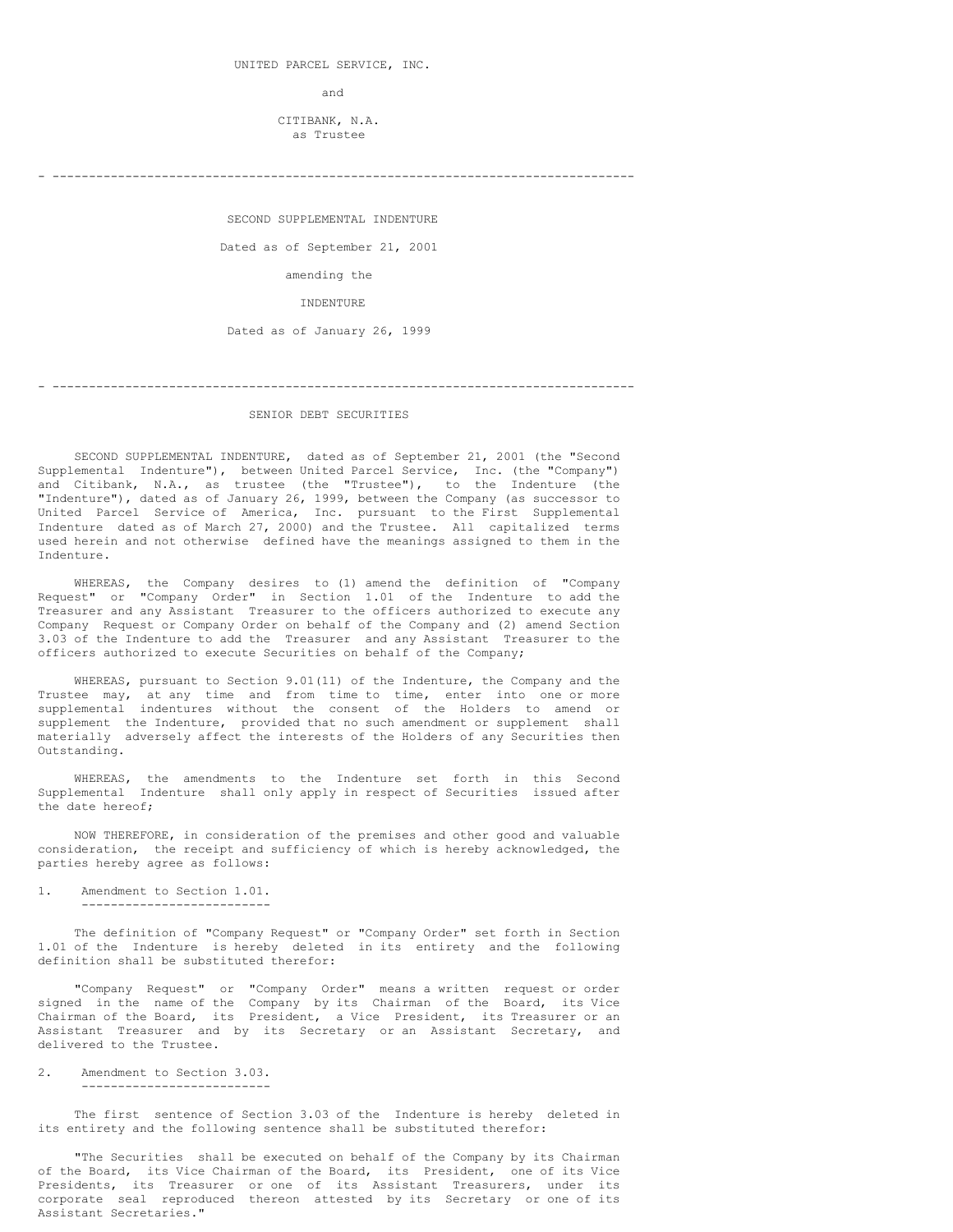and

CITIBANK, N.A. as Trustee

- --------------------------------------------------------------------------------

SECOND SUPPLEMENTAL INDENTURE

Dated as of September 21, 2001

amending the

INDENTURE

Dated as of January 26, 1999

#### SENIOR DEBT SECURITIES

- --------------------------------------------------------------------------------

SECOND SUPPLEMENTAL INDENTURE, dated as of September 21, 2001 (the "Second Supplemental Indenture"), between United Parcel Service, Inc. (the "Company") and Citibank, N.A., as trustee (the "Trustee"), to the Indenture (the "Indenture"), dated as of January 26, 1999, between the Company (as successor to United Parcel Service of America, Inc. pursuant to the First Supplemental Indenture dated as of March 27, 2000) and the Trustee. All capitalized terms used herein and not otherwise defined have the meanings assigned to them in the Indenture.

WHEREAS, the Company desires to (1) amend the definition of "Company Request" or "Company Order" in Section 1.01 of the Indenture to add the Treasurer and any Assistant Treasurer to the officers authorized to execute any Company Request or Company Order on behalf of the Company and (2) amend Section 3.03 of the Indenture to add the Treasurer and any Assistant Treasurer to the officers authorized to execute Securities on behalf of the Company;

WHEREAS, pursuant to Section 9.01(11) of the Indenture, the Company and the Trustee may, at any time and from time to time, enter into one or more supplemental indentures without the consent of the Holders to amend or supplement the Indenture, provided that no such amendment or supplement shall materially adversely affect the interests of the Holders of any Securities then Outstanding.

WHEREAS, the amendments to the Indenture set forth in this Second Supplemental Indenture shall only apply in respect of Securities issued after the date hereof;

NOW THEREFORE, in consideration of the premises and other good and valuable consideration, the receipt and sufficiency of which is hereby acknowledged, the parties hereby agree as follows:

1. Amendment to Section 1.01. --------------------------

The definition of "Company Request" or "Company Order" set forth in Section 1.01 of the Indenture is hereby deleted in its entirety and the following definition shall be substituted therefor:

"Company Request" or "Company Order" means a written request or order signed in the name of the Company by its Chairman of the Board, its Vice Chairman of the Board, its President, a Vice President, its Treasurer or an Assistant Treasurer and by its Secretary or an Assistant Secretary, and delivered to the Trustee.

2. Amendment to Section 3.03. --------------------------

The first sentence of Section 3.03 of the Indenture is hereby deleted in its entirety and the following sentence shall be substituted therefor:

"The Securities shall be executed on behalf of the Company by its Chairman of the Board, its Vice Chairman of the Board, its President, one of its Vice Presidents, its Treasurer or one of its Assistant Treasurers, under its corporate seal reproduced thereon attested by its Secretary or one of its Assistant Secretaries."